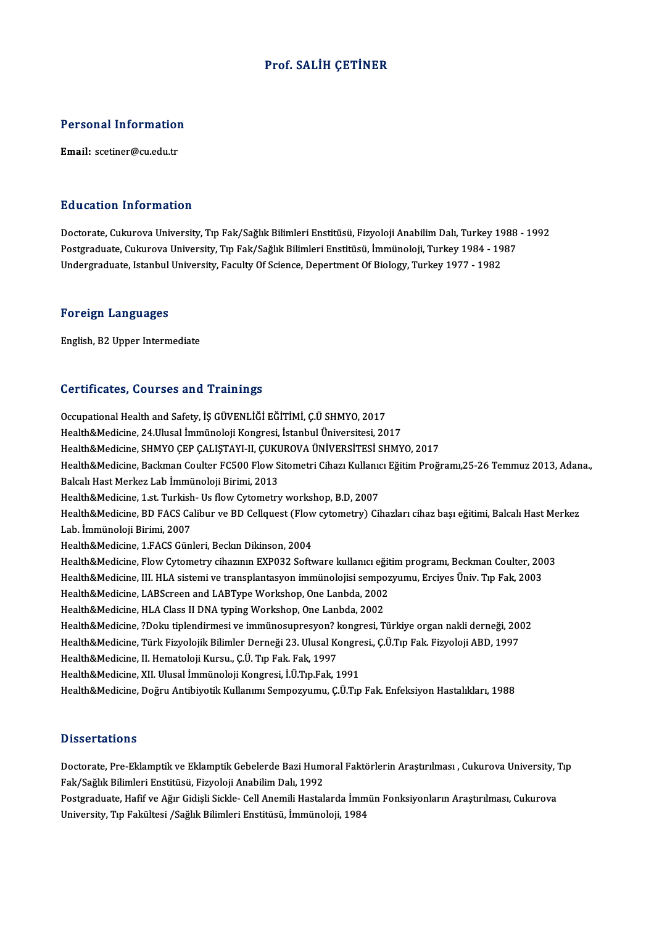### Prof. SALİH CETİNER

# Personal Information Personal Informatior<br>Email: scetiner@cu.edu.tr

#### Education Information

Education Information<br>Doctorate, Cukurova University, Tıp Fak/Sağlık Bilimleri Enstitüsü, Fizyoloji Anabilim Dalı, Turkey 1988 - 1992<br>Postaraduata Cukurova University, Tıp Fak/Sağlık Bilimleri Enstitüsü, İmmünaleji, Turkey Pu u susesi Timominusion<br>Doctorate, Cukurova University, Tıp Fak/Sağlık Bilimleri Enstitüsü, Fizyoloji Anabilim Dalı, Turkey 1988<br>Postgraduate, Istanbul University, Tıp Fak/Sağlık Bilimleri Enstitüsü, İmmünoloji, Turkey 19 Doctorate, Cukurova University, Tıp Fak/Sağlık Bilimleri Enstitüsü, Fizyoloji Anabilim Dalı, Turkey 19<br>Postgraduate, Cukurova University, Tıp Fak/Sağlık Bilimleri Enstitüsü, İmmünoloji, Turkey 1984 - 19<br>Undergraduate, Ista Undergraduate, Istanbul University, Faculty Of Science, Depertment Of Biology, Turkey 1977 - 1982<br>Foreign Languages

English,B2Upper Intermediate

### Certificates, Courses and Trainings

Certificates, Courses and Trainings<br>Occupational Health and Safety, İŞ GÜVENLİĞİ EĞİTİMİ, Ç.Ü SHMYO, 2017<br>Health & Medisine, 24 Ulusal İmmünaleji Kangyesi, İstanbul Üniversitesi, 20 UCI EHICACES, UOMI SUS ANA II AMMILS<br>Occupational Health and Safety, İŞ GÜVENLİĞİ EĞİTİMİ, Ç.Ü SHMYO, 2017<br>Health&Medicine, 24.Ulusal İmmünoloji Kongresi, İstanbul Üniversitesi, 2017<br>Health&Medicine, SHMYO CER CALISTAVI II Occupational Health and Safety, İŞ GÜVENLİĞİ EĞİTİMİ, Ç.Ü SHMYO, 2017<br>Health&Medicine, 24.Ulusal İmmünoloji Kongresi, İstanbul Üniversitesi, 2017<br>Health&Medicine, SHMYO ÇEP ÇALIŞTAYI-II, ÇUKUROVA ÜNİVERSİTESİ SHMYO, 2017<br>H Health&Medicine, 24.Ulusal İmmünoloji Kongresi, İstanbul Üniversitesi, 2017<br>Health&Medicine, SHMYO ÇEP ÇALIŞTAYI-II, ÇUKUROVA ÜNİVERSİTESİ SHMYO, 2017<br>Health&Medicine, Backman Coulter FC500 Flow Sitometri Cihazı Kullanıcı Health&Medicine, SHMYO ÇEP ÇALIŞTAYI-II, ÇUKU<br>Health&Medicine, Backman Coulter FC500 Flow S<br>Balcalı Hast Merkez Lab İmmünoloji Birimi, 2013<br>Health&Medicine, 1 st. Turkish, Us flow Cytemetry Health&Medicine, Backman Coulter FC500 Flow Sitometri Cihazı Kullanıc<br>Balcalı Hast Merkez Lab İmmünoloji Birimi, 2013<br>Health&Medicine, 1.st. Turkish- Us flow Cytometry workshop, B.D, 2007<br>Health&Medicine, BD EACS Colibur v Balcalı Hast Merkez Lab İmmünoloji Birimi, 2013<br>Health&Medicine, 1.st. Turkish- Us flow Cytometry workshop, B.D, 2007<br>Health&Medicine, BD FACS Calibur ve BD Cellquest (Flow cytometry) Cihazları cihaz başı eğitimi, Balcalı Health&Medicine, 1.st. Turkish<br>Health&Medicine, BD FACS Ca<br>Lab. İmmünoloji Birimi, 2007<br>Health&Medicine, 1.EACS Cün Health&Medicine, BD FACS Calibur ve BD Cellquest (Flow<br>Lab. İmmünoloji Birimi, 2007<br>Health&Medicine, 1.FACS Günleri, Beckın Dikinson, 2004<br>Health&Medicine, Flow Cytometry sibarının EVB022 Sefr Lab. İmmünoloji Birimi, 2007<br>Health&Medicine, 1.FACS Günleri, Beckın Dikinson, 2004<br>Health&Medicine, Flow Cytometry cihazının EXP032 Software kullanıcı eğitim programı, Beckman Coulter, 2003<br>Health&Medicine, III. H.A.siste Health&Medicine, 1.FACS Günleri, Beckın Dikinson, 2004<br>Health&Medicine, Flow Cytometry cihazının EXP032 Software kullanıcı eğitim programı, Beckman Coulter, 2003<br>Health&Medicine, III. HLA sistemi ve transplantasyon immünol Health&Medicine, Flow Cytometry cihazının EXP032 Software kullanıcı eğit<br>Health&Medicine, III. HLA sistemi ve transplantasyon immünolojisi sempoz<br>Health&Medicine, LABScreen and LABType Workshop, One Lanbda, 2002<br>Health&Med Health&Medicine, III. HLA sistemi ve transplantasyon immünolojisi sempo<br>Health&Medicine, LABScreen and LABType Workshop, One Lanbda, 2002<br>Health&Medicine, HLA Class II DNA typing Workshop, One Lanbda, 2002<br>Health&Medicine, Health&Medicine, HLA Class II DNA typing Workshop, One Lanbda, 2002<br>Health&Medicine, ?Doku tiplendirmesi ve immünosupresyon? kongresi, Türkiye organ nakli derneği, 2002 Health&Medicine, HLA Class II DNA typing Workshop, One Lanbda, 2002<br>Health&Medicine, ?Doku tiplendirmesi ve immünosupresyon? kongresi, Türkiye organ nakli derneği, 200<br>Health&Medicine, Türk Fizyolojik Bilimler Derneği 23. Health&Medicine, ?Doku tiplendirmesi ve immünosupresyon? l<br>Health&Medicine, Türk Fizyolojik Bilimler Derneği 23. Ulusal Ko<br>Health&Medicine, II. Hematoloji Kursu., Ç.Ü. Tıp Fak. Fak, 1997<br>Health&Medicine, YII. Ulusal İmmüna Health&Medicine, Türk Fizyolojik Bilimler Derneği 23. Ulusal Kongre<br>Health&Medicine, II. Hematoloji Kursu., Ç.Ü. Tıp Fak. Fak, 1997<br>Health&Medicine, XII. Ulusal İmmünoloji Kongresi, İ.Ü.Tıp.Fak, 1991<br>Health&Medicine, Doğru Health&Medicine, II. Hematoloji Kursu., Ç.Ü. Tıp Fak. Fak, 1997<br>Health&Medicine, XII. Ulusal İmmünoloji Kongresi, İ.Ü.Tıp.Fak, 1991<br>Health&Medicine, Doğru Antibiyotik Kullanımı Sempozyumu, Ç.Ü.Tıp Fak. Enfeksiyon Hastalıkl

#### **Dissertations**

Dissertations<br>Doctorate, Pre-Eklamptik ve Eklamptik Gebelerde Bazi Humoral Faktörlerin Araştırılması , Cukurova University, Tıp<br>Fak (Soğlık Bilimleri Enstitüsü, Fizyaleji Anabilim Dalı 1992 Bassea tatroms<br>Doctorate, Pre-Eklamptik ve Eklamptik Gebelerde Bazi Hume<br>Fak/Sağlık Bilimleri Enstitüsü, Fizyoloji Anabilim Dalı, 1992<br>Postanaduata Hafifare Ağır Cidieli Sielde Cell Anamili Hastalı Doctorate, Pre-Eklamptik ve Eklamptik Gebelerde Bazi Humoral Faktörlerin Araştırılması , Cukurova University, "<br>Fak/Sağlık Bilimleri Enstitüsü, Fizyoloji Anabilim Dalı, 1992<br>Postgraduate, Hafif ve Ağır Gidişli Sickle- Cell

Fak/Sağlık Bilimleri Enstitüsü, Fizyoloji Anabilim Dalı, 1992<br>Postgraduate, Hafif ve Ağır Gidişli Sickle- Cell Anemili Hastalarda İmm<br>University, Tıp Fakültesi /Sağlık Bilimleri Enstitüsü, İmmünoloji, 1984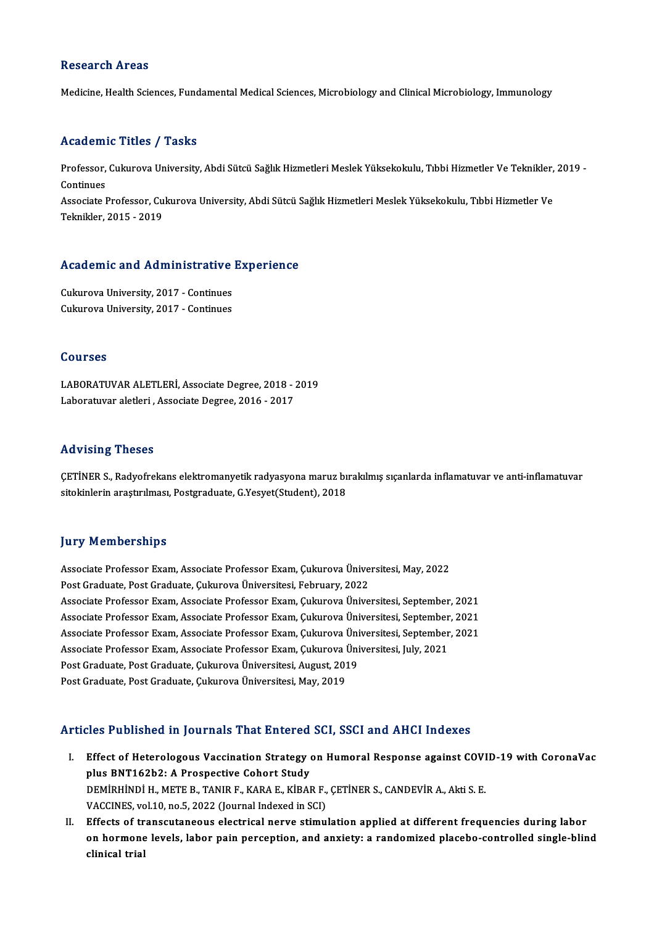### **Research Areas**

Medicine, Health Sciences, Fundamental Medical Sciences, Microbiology and Clinical Microbiology, Immunology

#### Academic Titles / Tasks

**Academic Titles / Tasks**<br>Professor, Cukurova University, Abdi Sütcü Sağlık Hizmetleri Meslek Yüksekokulu, Tıbbi Hizmetler Ve Teknikler, 2019 -<br>Centinues Professor,<br>Continues<br>Associate I Professor, Cukurova University, Abdi Sütcü Sağlık Hizmetleri Meslek Yüksekokulu, Tıbbi Hizmetler Ve Teknikler,<br>Continues<br>Associate Professor, Cukurova University, Abdi Sütcü Sağlık Hizmetleri Meslek Yüksekokulu, Tıbbi Hizm Continues<br>Associate Professor, Cukurova University, Abdi Sütcü Sağlık Hizmetleri Meslek Yüksekokulu, Tıbbi Hizmetler Ve<br>Teknikler, 2015 - 2019

# 1eknikier, 2015 - 2019<br>Academic and Administrative Experience

**Academic and Administrative<br>Cukurova University, 2017 - Continues<br>Culavrova University, 2017 - Continues** Cukurova University, 2017 - Continues<br>Cukurova University, 2017 - Continues

### Courses

LABORATUVARALETLERİ,AssociateDegree,2018 -2019 Laboratuvar aletleri, Associate Degree, 2016 - 2017

### Advising Theses

Advising Theses<br>ÇETİNER S., Radyofrekans elektromanyetik radyasyona maruz bırakılmış sıçanlarda inflamatuvar ve anti-inflamatuvar<br>sitekinlerin arastırılması, Bestaraduate C Yesust(Student), 2019 sita vising inseses<br>ÇETİNER S., Radyofrekans elektromanyetik radyasyona maruz bı<br>sitokinlerin araştırılması, Postgraduate, G.Yesyet(Student), 2018 sitokinlerin araştırılması, Postgraduate, G.Yesyet(Student), 2018<br>Jury Memberships

**Jury Memberships<br>Associate Professor Exam, Associate Professor Exam, Çukurova Üniversitesi, May, 2022**<br>Pest Craduste Pest Craduste Culuyeva Üniversitesi Eshmuary 2022 pary Fromborompo<br>Associate Professor Exam, Associate Professor Exam, Çukurova Ünive<br>Post Graduate, Post Graduate, Çukurova Üniversitesi, February, 2022<br>Associate Professor Evam, Associate Professor Evam, Gulurova Ünive Associate Professor Exam, Associate Professor Exam, Çukurova Üniversitesi, May, 2022<br>Post Graduate, Post Graduate, Çukurova Üniversitesi, February, 2022<br>Associate Professor Exam, Associate Professor Exam, Çukurova Üniversi Post Graduate, Post Graduate, Çukurova Üniversitesi, February, 2022<br>Associate Professor Exam, Associate Professor Exam, Çukurova Üniversitesi, September, 2021<br>Associate Professor Exam, Associate Professor Exam, Çukurova Ün Associate Professor Exam, Associate Professor Exam, Çukurova Üniversitesi, September, 2021<br>Associate Professor Exam, Associate Professor Exam, Çukurova Üniversitesi, September, 2021<br>Associate Professor Exam, Associate Prof Associate Professor Exam, Associate Professor Exam, Çukurova Üniversitesi, September<br>Associate Professor Exam, Associate Professor Exam, Çukurova Üniversitesi, September<br>Associate Professor Exam, Associate Professor Exam, Associate Professor Exam, Associate Professor Exam, Çukurova Üni<br>Associate Professor Exam, Associate Professor Exam, Çukurova Üni<br>Post Graduate, Post Graduate, Çukurova Üniversitesi, August, 2019<br>Post Craduate, Post Cradua Associate Professor Exam, Associate Professor Exam, Çukurova Üniversitesi, July, 2021<br>Post Graduate, Post Graduate, Çukurova Üniversitesi, August, 2019<br>Post Graduate, Post Graduate, Çukurova Üniversitesi, May, 2019

### Articles Published in Journals That Entered SCI, SSCI and AHCI Indexes

- rticles Published in Journals That Entered SCI, SSCI and AHCI Indexes<br>I. Effect of Heterologous Vaccination Strategy on Humoral Response against COVID-19 with CoronaVac<br>Rive BNT162b2: A Prespective Cobert Study plus Plus Bonshou in Journals Phat Entered<br>Effect of Heterologous Vaccination Strategy<br>plus BNT162b2: A Prospective Cohort Study<br>DEMIPHINDI H METE B TANID E KABA E KIBAL Effect of Heterologous Vaccination Strategy on Humoral Response against COVI<br>plus BNT162b2: A Prospective Cohort Study<br>DEMİRHİNDİ H., METE B., TANIR F., KARA E., KİBAR F., ÇETİNER S., CANDEVİR A., Akti S. E.<br>VACCINES. val plus BNT162b2: A Prospective Cohort Study<br>DEMİRHİNDİ H., METE B., TANIR F., KARA E., KİBAR F.,<br>VACCINES, vol.10, no.5, 2022 (Journal Indexed in SCI)<br>Effects of transcutaneous electrical narve stimu DEMIRHINDI H., METE B., TANIR F., KARA E., KIBAR F., ÇETINER S., CANDEVIR A., Akti S. E.<br>VACCINES, vol.10, no.5, 2022 (Journal Indexed in SCI)<br>II. Effects of transcutaneous electrical nerve stimulation applied at different
- VACCINES, vol.10, no.5, 2022 (Journal Indexed in SCI)<br>Effects of transcutaneous electrical nerve stimulation applied at different frequencies during labor<br>on hormone levels, labor pain perception, and anxiety: a randomized Effects of tr<br>on hormone<br>clinical trial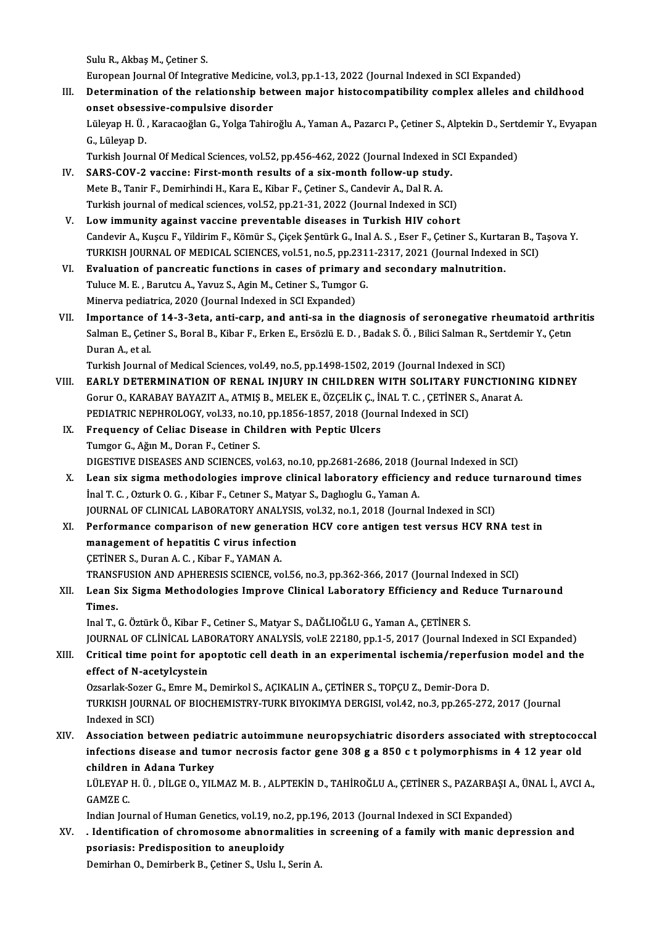SuluR.,AkbaşM.,Çetiner S.

European Journal Of Integrative Medicine, vol.3, pp.1-13, 2022 (Journal Indexed in SCI Expanded)

Sulu R., Akbaş M., Çetiner S.<br>European Journal Of Integrative Medicine, vol.3, pp.1-13, 2022 (Journal Indexed in SCI Expanded)<br>III. Determination of the relationship between major histocompatibility complex alleles and chi European Journal Of Integrative Medicine,<br>Determination of the relationship bet<br>onset obsessive-compulsive disorder Determination of the relationship between major histocompatibility complex alleles and childhood<br>onset obsessive-compulsive disorder<br>Lüleyap H. Ü. , Karacaoğlan G., Yolga Tahiroğlu A., Yaman A., Pazarcı P., Çetiner S., Alp

onset obses:<br>Lüleyap H. Ü.<br>G., Lüleyap D.<br>Turkish Journ Lüleyap H. Ü. , Karacaoğlan G., Yolga Tahiroğlu A., Yaman A., Pazarcı P., Çetiner S., Alptekin D., Serto<br>G., Lüleyap D.<br>Turkish Journal Of Medical Sciences, vol.52, pp.456-462, 2022 (Journal Indexed in SCI Expanded)<br>SABS C

- G., Lüleyap D.<br>Turkish Journal Of Medical Sciences, vol.52, pp.456-462, 2022 (Journal Indexed in :<br>IV. SARS-COV-2 vaccine: First-month results of a six-month follow-up study.<br>Mete B. Tanir E. Demirbindi H. Kara E. Kibar E. Turkish Journal Of Medical Sciences, vol.52, pp.456-462, 2022 (Journal Indexed i<br>SARS-COV-2 vaccine: First-month results of a six-month follow-up stud<br>Mete B., Tanir F., Demirhindi H., Kara E., Kibar F., Çetiner S., Candev SARS-COV-2 vaccine: First-month results of a six-month follow-up study.<br>Mete B., Tanir F., Demirhindi H., Kara E., Kibar F., Çetiner S., Candevir A., Dal R. A.<br>Turkish journal of medical sciences, vol.52, pp.21-31, 2022 (J Mete B., Tanir F., Demirhindi H., Kara E., Kibar F., Çetiner S., Candevir A., Dal R. A.<br>Turkish journal of medical sciences, vol.52, pp.21-31, 2022 (Journal Indexed in SCI)<br>V. Low immunity against vaccine preventable disea
- Turkish journal of medical sciences, vol.52, pp.21-31, 2022 (Journal Indexed in SCI)<br>L**ow immunity against vaccine preventable diseases in Turkish HIV cohort**<br>Candevir A., Kuşcu F., Yildirim F., Kömür S., Çiçek Şentürk G., Low immunity against vaccine preventable diseases in Turkish HIV cohort<br>Candevir A., Kuşcu F., Yildirim F., Kömür S., Çiçek Şentürk G., Inal A. S. , Eser F., Çetiner S., Kurtaran B., T<br>TURKISH JOURNAL OF MEDICAL SCIENCES, Candevir A., Kuşcu F., Yildirim F., Kömür S., Çiçek Şentürk G., Inal A. S., Eser F., Çetiner S., Kurtar<br>TURKISH JOURNAL OF MEDICAL SCIENCES, vol.51, no.5, pp.2311-2317, 2021 (Journal Indexed<br>VI. Evaluation of pancreatic fu
- TURKISH JOURNAL OF MEDICAL SCIENCES, vol.51, no.5, pp.231<br>Evaluation of pancreatic functions in cases of primary a<br>Tuluce M. E. , Barutcu A., Yavuz S., Agin M., Cetiner S., Tumgor G.<br>Minerys podiatrics 2020 (Journal Indove Evaluation of pancreatic functions in cases of primary<br>Tuluce M. E. , Barutcu A., Yavuz S., Agin M., Cetiner S., Tumgor<br>Minerva pediatrica, 2020 (Journal Indexed in SCI Expanded)<br>Importance of 14.2.2sts, anti-sann, and ant
- Tuluce M. E. , Barutcu A., Yavuz S., Agin M., Cetiner S., Tumgor G.<br>Minerva pediatrica, 2020 (Journal Indexed in SCI Expanded)<br>VII. Importance of 14-3-3eta, anti-carp, and anti-sa in the diagnosis of seronegative rheumatoi Minerva pediatrica, 2020 (Journal Indexed in SCI Expanded)<br>Importance of 14-3-3eta, anti-carp, and anti-sa in the diagnosis of seronegative rheumatoid arth<br>Salman E., Çetiner S., Boral B., Kibar F., Erken E., Ersözlü E. D. I<mark>mportance o</mark><br>Salman E., Çetii<br>Duran A., et al.<br>Turkish Journa Salman E., Çetiner S., Boral B., Kibar F., Erken E., Ersözlü E. D. , Badak S. Ö. , Bilici Salman R., Sert<br>Duran A., et al.<br>Turkish Journal of Medical Sciences, vol.49, no.5, pp.1498-1502, 2019 (Journal Indexed in SCI)<br>EARL

- Duran A., et al.<br>Turkish Journal of Medical Sciences, vol.49, no.5, pp.1498-1502, 2019 (Journal Indexed in SCI)<br>VIII. EARLY DETERMINATION OF RENAL INJURY IN CHILDREN WITH SOLITARY FUNCTIONING KIDNEY<br>Gorur O., KARABAY BAYAZ Turkish Journal of Medical Sciences, vol.49, no.5, pp.1498-1502, 2019 (Journal Indexed in SCI)<br>EARLY DETERMINATION OF RENAL INJURY IN CHILDREN WITH SOLITARY FUNCTIONING<br>Gorur O., KARABAY BAYAZIT A., ATMIŞ B., MELEK E., ÖZÇ EARLY DETERMINATION OF RENAL INJURY IN CHILDREN WITH SOLITARY F<br>Gorur O., KARABAY BAYAZIT A., ATMIŞ B., MELEK E., ÖZÇELİK Ç., İNAL T. C. , ÇETİNER :<br>PEDIATRIC NEPHROLOGY, vol.33, no.10, pp.1856-1857, 2018 (Journal Indexed
	- IX. Frequency of Celiac Disease in Children with Peptic Ulcers<br>Tumgor G., Ağın M., Doran F., Cetiner S. PEDIATRIC NEPHROLOGY, vol.33, no.10<br>Frequency of Celiac Disease in Chil<br>Tumgor G., Ağın M., Doran F., Cetiner S.<br>DICESTIVE DISEASES AND SCIENCES. v Frequency of Celiac Disease in Children with Peptic Ulcers<br>Tumgor G., Ağın M., Doran F., Cetiner S.<br>DIGESTIVE DISEASES AND SCIENCES, vol.63, no.10, pp.2681-2686, 2018 (Journal Indexed in SCI)<br>Lean six sigma mathodologies i
	- X. Lean six sigma methodologies improve clinical laboratory efficiency and reduce turnaround times inal T. C., Ozturk O. G., Kibar F., Cetuner S., Matyar S., Dagluoglu G., Yaman A. DIGESTIVE DISEASES AND SCIENCES, vol.63, no.10, pp.2681-2686, 2018 (Jonato I dean six sigma methodologies improve clinical laboratory efficient<br>Inal T. C. , Ozturk O. G. , Kibar F., Cetner S., Matyar S., Daglıoglu G., Yama Lean six sigma methodologies improve clinical laboratory efficiency and reduce t<br>İnal T. C. , Ozturk O. G. , Kibar F., Cetner S., Matyar S., Daglıoglu G., Yaman A.<br>JOURNAL OF CLINICAL LABORATORY ANALYSIS, vol.32, no.1, 201
- XI. Performance comparison of new generation HCV core antigen test versus HCV RNA test in management of hepatitis C virus infection JOURNAL OF CLINICAL LABORATORY ANALYSIS<br>Performance comparison of new generation<br>management of hepatitis C virus infection<br>CETINER S. Duran A.C., Kibor E, YAMAN A ÇETİNERS.,DuranA.C. ,Kibar F.,YAMANA. management of hepatitis C virus infection<br>ÇETİNER S., Duran A. C. , Kibar F., YAMAN A.<br>TRANSFUSION AND APHERESIS SCIENCE, vol.56, no.3, pp.362-366, 2017 (Journal Indexed in SCI)<br>Leen Siy Sigme Methodologies Improve Clipica CETINER S., Duran A. C. , Kibar F., YAMAN A.<br>TRANSFUSION AND APHERESIS SCIENCE, vol.56, no.3, pp.362-366, 2017 (Journal Indexed in SCI)<br>XII. Lean Six Sigma Methodologies Improve Clinical Laboratory Efficiency and Reduc

# TRANS<br>Lean S<br>Times. Lean Six Sigma Methodologies Improve Clinical Laboratory Efficiency and Re<br>Times.<br>Inal T., G. Öztürk Ö., Kibar F., Cetiner S., Matyar S., DAĞLIOĞLU G., Yaman A., ÇETİNER S.<br>JOUPMAL OF CLİNİCAL LABORATORY ANALYSİS .vel E 22

Ti<mark>mes.</mark><br>Inal T., G. Öztürk Ö., Kibar F., Cetiner S., Matyar S., DAĞLIOĞLU G., Yaman A., ÇETİNER S.<br>JOURNAL OF CLİNİCAL LABORATORY ANALYSİS, vol.E 22180, pp.1-5, 2017 (Journal Indexed in SCI Expanded)<br>Critical time point f Inal T., G. Öztürk Ö., Kibar F., Cetiner S., Matyar S., DAĞLIOĞLU G., Yaman A., ÇETİNER S.<br>JOURNAL OF CLİNİCAL LABORATORY ANALYSİS, vol.E 22180, pp.1-5, 2017 (Journal Indexed in SCI Expanded)<br>XIII. Critical time point

# **JOURNAL OF CLINICAL LAB**<br>Critical time point for ap<br>effect of N-acetylcystein<br>Ozsarlak Sazar C. Emre M. J Critical time point for apoptotic cell death in an experimental ischemia/reperfus<br>effect of N-acetylcystein<br>Ozsarlak-Sozer G., Emre M., Demirkol S., AÇIKALIN A., ÇETİNER S., TOPÇU Z., Demir-Dora D.<br>TURKISH JOURNAL OF PIOCH

effect of N-acetylcystein<br>Ozsarlak-Sozer G., Emre M., Demirkol S., AÇIKALIN A., ÇETİNER S., TOPÇU Z., Demir-Dora D.<br>TURKISH JOURNAL OF BIOCHEMISTRY-TURK BIYOKIMYA DERGISI, vol.42, no.3, pp.265-272, 2017 (Journal<br>Indexed in Ozsarlak-Sozer<br>TURKISH JOURN<br>Indexed in SCI)<br>Assosiation he

XIV. Association between pediatric autoimmune neuropsychiatric disorders associated with streptococcal Indexed in SCI)<br>Association between pediatric autoimmune neuropsychiatric disorders associated with streptococ<br>infections disease and tumor necrosis factor gene 308 g a 850 c t polymorphisms in 4 12 year old<br>shildron in Ad Association between pedia<br>infections disease and tun<br>children in Adana Turkey<br>LÜLEVARH ÜL DİLCE O VU infections disease and tumor necrosis factor gene 308 g a 850 c t polymorphisms in 4 12 year old<br>children in Adana Turkey<br>LÜLEYAP H. Ü. , DİLGE O., YILMAZ M. B. , ALPTEKİN D., TAHİROĞLU A., ÇETİNER S., PAZARBAŞI A., ÜNAL İ

children<br>LÜLEYAP<br>GAMZE C.<br>Indian Iou LÜLEYAP H. Ü. , DİLGE O., YILMAZ M. B. , ALPTEKİN D., TAHİROĞLU A., ÇETİNER S., PAZARBAŞI A<br>GAMZE C.<br>Indian Journal of Human Genetics, vol.19, no.2, pp.196, 2013 (Journal Indexed in SCI Expanded)<br>Identification of shnomaso

GAMZE C.<br>Indian Journal of Human Genetics, vol.19, no.2, pp.196, 2013 (Journal Indexed in SCI Expanded)<br>XV. . Identification of chromosome abnormalities in screening of a family with manic depression and<br>recriesion Prod Indian Journal of Human Genetics, vol.19, no.2, pp.196, 2013 (Journal Indexed in SCI Expanded)<br>Identification of chromosome abnormalities in screening of a family with manic dep<br>psoriasis: Predisposition to aneuploidy<br>Demi . Identification of chromosome abnormalities i:<br>psoriasis: Predisposition to aneuploidy<br>Demirhan O., Demirberk B., Çetiner S., Uslu I., Serin A.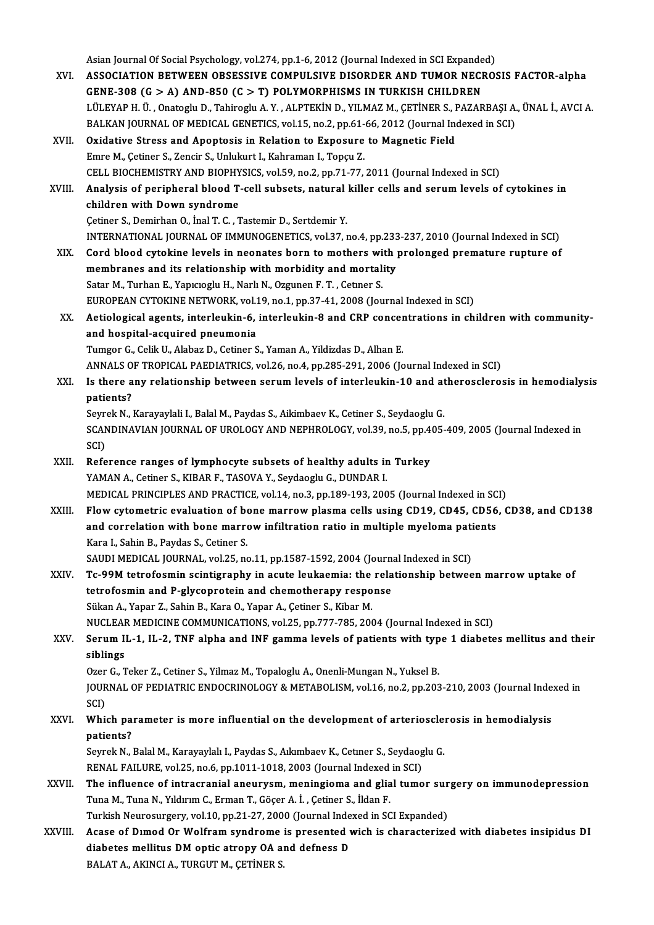- Asian Journal Of Social Psychology, vol.274, pp.1-6, 2012 (Journal Indexed in SCI Expanded)<br>ASSOCIATION RETWEEN ORSESSIVE COMBILLSIVE DISORDER AND TUMOR NECRO XVI. ASSOCIATION BETWEEN OBSESSIVE COMPULSIVE DISORDER AND TUMOR NECROSIS FACTOR-alpha<br>GENE-308 (G > A) AND-850 (C > T) POLYMORPHISMS IN TURKISH CHILDREN Asian Journal Of Social Psychology, vol.274, pp.1-6, 2012 (Journal Indexed in SCI Expande<br>ASSOCIATION BETWEEN OBSESSIVE COMPULSIVE DISORDER AND TUMOR NECH<br>GENE-308 (G > A) AND-850 (C > T) POLYMORPHISMS IN TURKISH CHILDREN<br> ASSOCIATION BETWEEN OBSESSIVE COMPULSIVE DISORDER AND TUMOR NECROSIS FACTOR-alpha<br>GENE-308 (G > A) AND-850 (C > T) POLYMORPHISMS IN TURKISH CHILDREN<br>LÜLEYAP H. Ü. , Onatoglu D., Tahiroglu A.Y. , ALPTEKİN D., YILMAZ M., ÇET GENE-308 (G > A) AND-850 (C > T) POLYMORPHISMS IN TURKISH CHILDREN<br>LÜLEYAP H. Ü., Onatoglu D., Tahiroglu A. Y., ALPTEKİN D., YILMAZ M., ÇETİNER S., PAZARBAŞI A.<br>BALKAN JOURNAL OF MEDICAL GENETICS, vol.15, no.2, pp.61-66, 2 BALKAN JOURNAL OF MEDICAL GENETICS, vol.15, no.2, pp.61-66, 2012 (Journal Indexed in SCI)<br>XVII. Oxidative Stress and Apoptosis in Relation to Exposure to Magnetic Field Emre M., Çetiner S., Zencir S., Unlukurt I., Kahraman I., Topçu Z. CELLBIOCHEMISTRYANDBIOPHYSICS,vol.59,no.2,pp.71-77,2011 (Journal Indexed inSCI) Emre M., Çetiner S., Zencir S., Unlukurt I., Kahraman I., Topçu Z.<br>CELL BIOCHEMISTRY AND BIOPHYSICS, vol.59, no.2, pp.71-77, 2011 (Journal Indexed in SCI)<br>XVIII. Analysis of peripheral blood T-cell subsets, natural kil CELL BIOCHEMISTRY AND BIOPHY<br>Analysis of peripheral blood T-<br>children with Down syndrome Analysis of peripheral blood T-cell subsets, natural<br>children with Down syndrome<br>Cetiner S., Demirhan O., İnal T. C. , Tastemir D., Sertdemir Y.<br>INTERNATIONAL JOURNAL OE IMMUNOCENETICS, vol 37 . children with Down syndrome<br>Cetiner S., Demirhan O., İnal T. C. , Tastemir D., Sertdemir Y.<br>INTERNATIONAL JOURNAL OF IMMUNOGENETICS, vol.37, no.4, pp.233-237, 2010 (Journal Indexed in SCI) XIX. Cord blood cytokine levels in neonates born to mothers with prolonged premature rupture of INTERNATIONAL JOURNAL OF IMMUNOGENETICS, vol.37, no.4, pp.233<br>Cord blood cytokine levels in neonates born to mothers with<br>membranes and its relationship with morbidity and mortality<br>Setan M. Turban E. Yangasshu H. Nark N. Cord blood cytokine levels in neonates born to mothers wi<br>membranes and its relationship with morbidity and mortal<br>Satar M., Turhan E., Yapıcıoglu H., Narlı N., Ozgunen F. T. , Cetner S.<br>FUROPEAN CYTOKINE NETWORK vel 19 no membranes and its relationship with morbidity and mortality<br>Satar M., Turhan E., Yapıcıoglu H., Narlı N., Ozgunen F. T. , Cetner S.<br>EUROPEAN CYTOKINE NETWORK, vol.19, no.1, pp.37-41, 2008 (Journal Indexed in SCI)<br>Actiologi Satar M., Turhan E., Yapıcıoglu H., Narlı N., Ozgunen F. T. , Cetner S.<br>EUROPEAN CYTOKINE NETWORK, vol.19, no.1, pp.37-41, 2008 (Journal Indexed in SCI)<br>XX. Aetiological agents, interleukin-6, interleukin-8 and CRP concent EUROPEAN CYTOKINE NETWORK, vol.1<br>Aetiological agents, interleukin-6,<br>and hospital-acquired pneumonia<br>Tumsen C. Colik U. Alabas D. Cotiner S Aetiological agents, interleukin-6, interleukin-8 and CRP concer<br>and hospital-acquired pneumonia<br>Tumgor G., Celik U., Alabaz D., Cetiner S., Yaman A., Yildizdas D., Alhan E.<br>ANNALS OF TROPICAL BAEDIATRICS vol.26 no.4 nn.29 and hospital-acquired pneumonia<br>Tumgor G., Celik U., Alabaz D., Cetiner S., Yaman A., Yildizdas D., Alhan E.<br>ANNALS OF TROPICAL PAEDIATRICS, vol.26, no.4, pp.285-291, 2006 (Journal Indexed in SCI)<br>Is there any relationship Tumgor G., Celik U., Alabaz D., Cetiner S., Yaman A., Yildizdas D., Alhan E.<br>ANNALS OF TROPICAL PAEDIATRICS, vol.26, no.4, pp.285-291, 2006 (Journal Indexed in SCI)<br>XXI. Is there any relationship between serum levels of in ANNALS O<br>Is there a<br>patients?<br>Sourek N Is there any relationship between serum levels of interleukin-10 and at<br>patients?<br>Seyrek N., Karayaylali I., Balal M., Paydas S., Aikimbaev K., Cetiner S., Seydaoglu G.<br>SCANDINAVIAN JOUPNAL OF UPOLOCY AND NEPHPOLOCY 329, n patients?<br>Seyrek N., Karayaylali I., Balal M., Paydas S., Aikimbaev K., Cetiner S., Seydaoglu G.<br>SCANDINAVIAN JOURNAL OF UROLOGY AND NEPHROLOGY, vol.39, no.5, pp.405-409, 2005 (Journal Indexed in<br>SCD Seyr<br>SCAN<br>SCI)<br>Befe SCANDINAVIAN JOURNAL OF UROLOGY AND NEPHROLOGY, vol.39, no.5, pp.4<br>SCI)<br>XXII. Reference ranges of lymphocyte subsets of healthy adults in Turkey<br>XAMAN A. Cotinor S. KIRAR E. TASOVA V. Savdagglu C. DUNDAR L SCI)<br>Reference ranges of lymphocyte subsets of healthy adults in Turkey<br>YAMAN A., Cetiner S., KIBAR F., TASOVA Y., Seydaoglu G., DUNDAR I. MEDICAL PRINCIPLES AND PRACTICE, vol.14, no.3, pp.189-193, 2005 (Journal Indexed in SCI) YAMAN A., Cetiner S., KIBAR F., TASOVA Y., Seydaoglu G., DUNDAR I.<br>MEDICAL PRINCIPLES AND PRACTICE, vol.14, no.3, pp.189-193, 2005 (Journal Indexed in SCI)<br>XXIII. Flow cytometric evaluation of bone marrow plasma cells usin MEDICAL PRINCIPLES AND PRACTICE, vol.14, no.3, pp.189-193, 2005 (Journal Indexed in SC<br>Flow cytometric evaluation of bone marrow plasma cells using CD19, CD45, CD56<br>and correlation with bone marrow infiltration ratio in mu Flow cytometric evaluation of be<br>and correlation with bone marre<br>Kara I., Sahin B., Paydas S., Cetiner S.<br>SAUDI MEDICAL JOUPMAL vol 25, pe and correlation with bone marrow infiltration ratio in multiple myeloma pati<br>Kara I., Sahin B., Paydas S., Cetiner S.<br>SAUDI MEDICAL JOURNAL, vol.25, no.11, pp.1587-1592, 2004 (Journal Indexed in SCI)<br>Te 99M tetrofognin esi Kara I., Sahin B., Paydas S., Cetiner S.<br>SAUDI MEDICAL JOURNAL, vol.25, no.11, pp.1587-1592, 2004 (Journal Indexed in SCI)<br>XXIV. Tc-99M tetrofosmin scintigraphy in acute leukaemia: the relationship between marrow uptak SAUDI MEDICAL JOURNAL, vol.25, no.11, pp.1587-1592, 2004 (Journal Tc-99M tetrofosmin scintigraphy in acute leukaemia: the relation of the relation and P-glycoprotein and chemotherapy response Tc-99M tetrofosmin scintigraphy in acute leukaemia: the<br>tetrofosmin and P-glycoprotein and chemotherapy respo<br>Sükan A., Yapar Z., Sahin B., Kara O., Yapar A., Çetiner S., Kibar M.<br>NUCLEAR MEDICINE COMMUNICATIONS XRL25, PR. tetrofosmin and P-glycoprotein and chemotherapy response<br>Sükan A., Yapar Z., Sahin B., Kara O., Yapar A., Çetiner S., Kibar M.<br>NUCLEAR MEDICINE COMMUNICATIONS, vol.25, pp.777-785, 2004 (Journal Indexed in SCI)<br>Senum H. 1, Sükan A., Yapar Z., Sahin B., Kara O., Yapar A., Çetiner S., Kibar M.<br>NUCLEAR MEDICINE COMMUNICATIONS, vol.25, pp.777-785, 2004 (Journal Indexed in SCI)<br>XXV. Serum IL-1, IL-2, TNF alpha and INF gamma levels of patients NUCLEAR<br>Serum II<br>siblings<br>Ozer C T Serum IL-1, IL-2, TNF alpha and INF gamma levels of patients with typ<br>siblings<br>Ozer G., Teker Z., Cetiner S., Yilmaz M., Topaloglu A., Onenli-Mungan N., Yuksel B.<br>JOUPMAL OF PEDIATPIC ENDOCPINOLOCY & METAROLISM vol.16 no.2 siblings<br>Ozer G., Teker Z., Cetiner S., Yilmaz M., Topaloglu A., Onenli-Mungan N., Yuksel B.<br>JOURNAL OF PEDIATRIC ENDOCRINOLOGY & METABOLISM, vol.16, no.2, pp.203-210, 2003 (Journal Indexed in<br>SCI) Ozer G., Teker Z., Cetiner S., Yilmaz M., Topaloglu A., Onenli-Mungan N., Yuksel B. JOURNAL OF PEDIATRIC ENDOCRINOLOGY & METABOLISM, vol.16, no.2, pp.203-210, 2003 (Journal Indes SCI)<br>XXVI. Which parameter is more influential on the development of arteriosclerosis in hemodialysis<br>nationta? SCI)<br>Which pa:<br>patients?<br>Sourek N Which parameter is more influential on the development of arterioscle:<br>patients?<br>Seyrek N., Balal M., Karayaylalı I., Paydas S., Aıkımbaev K., Cetıner S., Seydaoglu G.<br>PENAL FAILUPE vol 25. no.6. nn 1011 1018-2002 (Journal patients?<br>Seyrek N., Balal M., Karayaylalı I., Paydas S., Aıkımbaev K., Cetıner S., Seydaog<br>RENAL FAILURE, vol.25, no.6, pp.1011-1018, 2003 (Journal Indexed in SCI)<br>The influence of intrecrenial eneurysm, moningieme and gl Seyrek N., Balal M., Karayaylalı I., Paydas S., Aıkımbaev K., Cetner S., Seydaoglu G.<br>RENAL FAILURE, vol.25, no.6, pp.1011-1018, 2003 (Journal Indexed in SCI)<br>XXVII. The influence of intracranial aneurysm, meningioma and g RENAL FAILURE, vol.25, no.6, pp.1011-1018, 2003 (Journal Indexed<br>The influence of intracranial aneurysm, meningioma and glia<br>Tuna M., Tuna N., Yıldırım C., Erman T., Göçer A. İ. , Çetiner S., İldan F.<br>Turkish Neurosurgery, The influence of intracranial aneurysm, meningioma and glial tumor sur<br>Tuna M., Tuna N., Yıldırım C., Erman T., Göçer A. İ. , Çetiner S., İldan F.<br>Turkish Neurosurgery, vol.10, pp.21-27, 2000 (Journal Indexed in SCI Expand Tuna M., Tuna N., Yıldırım C., Erman T., Göçer A. İ. , Çetiner S., İldan F.<br>Turkish Neurosurgery, vol.10, pp.21-27, 2000 (Journal Indexed in SCI Expanded)<br>XXVIII. Acase of Dımod Or Wolfram syndrome is presented wich is
- Turkish Neurosurgery, vol.10, pp.21-27, 2000 (Journal Indexed in SCI Expanded)<br>Acase of Dimod Or Wolfram syndrome is presented wich is characterize<br>diabetes mellitus DM optic atropy OA and defness D<br>BALAT A., AKINCI A., TU Acase of Dimod Or Wolfram syndrome<br>diabetes mellitus DM optic atropy OA al<br>BALAT A., AKINCI A., TURGUT M., ÇETİNER S.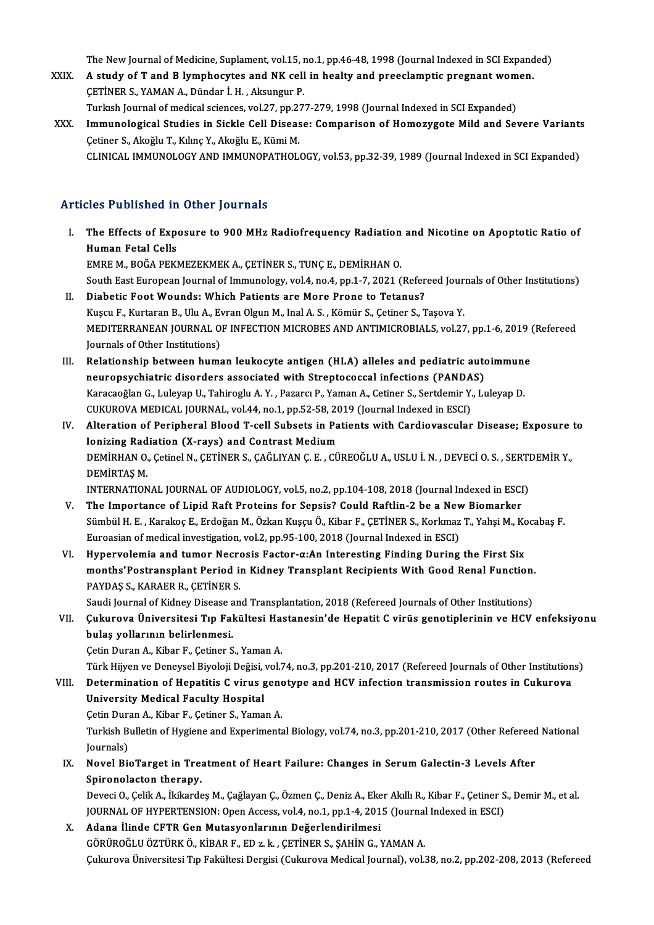The New Journal of Medicine, Suplament, vol.15, no.1, pp.46-48, 1998 (Journal Indexed in SCI Expanded)<br>A study of T and B lymphoeytes and NK sell in healty and preselemntis pregnant wemen

- The New Journal of Medicine, Suplament, vol.15, no.1, pp.46-48, 1998 (Journal Indexed in SCI Expand<br>XXIX. A study of T and B lymphocytes and NK cell in healty and preeclamptic pregnant women. The New Journal of Medicine, Suplament, vol.15, 1<br>A study of T and B lymphocytes and NK cell<br>ÇETİNER S., YAMAN A., Dündar İ.H. , Aksungur P.<br>Turlush Journal of medical sejanses, vol.27, pp.27 A study of T and B lymphocytes and NK cell in healty and preeclamptic pregnant women.<br>CETINER S., YAMAN A., Dündar İ. H., Aksungur P.
- CETINER S., YAMAN A., Dündar İ. H. , Aksungur P.<br>Turkısh Journal of medical sciences, vol.27, pp.277-279, 1998 (Journal Indexed in SCI Expanded)<br>XXX. Immunological Studies in Sickle Cell Disease: Comparison of Homozygo Turkısh Journal of medical sciences, vol.27, pp.277-279, 1998 (Journal Indexed in SCI Expanded)<br>Immunological Studies in Sickle Cell Disease: Comparison of Homozygote Mild and Severe Variant:<br>Çetiner S., Akoğlu T., Kılınç I<mark>mmunological Studies in Sickle Cell Disease: Comparison of Homozygote Mild and Severe Variant</mark><br>Çetiner S., Akoğlu T., Kılınç Y., Akoğlu E., Kümi M.<br>CLINICAL IMMUNOLOGY AND IMMUNOPATHOLOGY, vol.53, pp.32-39, 1989 (Journal

### Articles Published in Other Journals

- rticles Published in Other Journals<br>I. The Effects of Exposure to 900 MHz Radiofrequency Radiation and Nicotine on Apoptotic Ratio of<br>Human Estal Cells The Effects of Experience of the Effects of Experience Have<br>Human Fetal Cells<br>EMBE M. BOČA BEVI The Effects of Exposure to 900 MHz Radiofrequency Radiation<br>Human Fetal Cells<br>EMRE M., BOĞA PEKMEZEKMEK A., ÇETİNER S., TUNÇ E., DEMİRHAN O.<br>South Fest Europeen Journal of Immunology vol.4, no.4, nn.1, 7, 2021.( Human Fetal Cells<br>EMRE M., BOĞA PEKMEZEKMEK A., ÇETİNER S., TUNÇ E., DEMİRHAN O.<br>South East European Journal of Immunology, vol.4, no.4, pp.1-7, 2021 (Refereed Journals of Other Institutions)<br>Diabetia Foot Wounda: Whish Pe EMRE M., BOĞA PEKMEZEKMEK A., ÇETİNER S., TUNÇ E., DEMİRHAN O.<br>South East European Journal of Immunology, vol.4, no.4, pp.1-7, 2021 (Refer<br>II. Diabetic Foot Wounds: Which Patients are More Prone to Tetanus?<br>Experient S. Ce South East European Journal of Immunology, vol.4, no.4, pp.1-7, 2021 (Refereed Jour<br>Diabetic Foot Wounds: Which Patients are More Prone to Tetanus?<br>Kuşcu F., Kurtaran B., Ulu A., Evran Olgun M., Inal A. S. , Kömür S., Çeti II. Diabetic Foot Wounds: Which Patients are More Prone to Tetanus?<br>Kuşcu F., Kurtaran B., Ulu A., Evran Olgun M., Inal A. S. , Kömür S., Çetiner S., Taşova Y.<br>MEDITERRANEAN JOURNAL OF INFECTION MICROBES AND ANTIMICROBIALS Kuşcu F., Kurtaran B., Ulu A., Ev<br>MEDITERRANEAN JOURNAL O<br>Journals of Other Institutions)<br>Relationship between bums MEDITERRANEAN JOURNAL OF INFECTION MICROBES AND ANTIMICROBIALS, vol.27, pp.1-6, 2019 (<br>Journals of Other Institutions)<br>III. Relationship between human leukocyte antigen (HLA) alleles and pediatric autoimmune<br>neuronsystetri
- Journals of Other Institutions)<br>Relationship between human leukocyte antigen (HLA) alleles and pediatric auto<br>neuropsychiatric disorders associated with Streptococcal infections (PANDAS)<br>Karasaağlan C. Lulevan II. Tabirosl Relationship between human leukocyte antigen (HLA) alleles and pediatric autoimmune<br>neuropsychiatric disorders associated with Streptococcal infections (PANDAS)<br>Karacaoğlan G., Luleyap U., Tahiroglu A. Y. , Pazarcı P., Yam neuropsychiatric disorders associated with Streptococcal infections (PANDAS)<br>Karacaoğlan G., Luleyap U., Tahiroglu A. Y. , Pazarcı P., Yaman A., Cetiner S., Sertdemir Y., Luleyap D.<br>CUKUROVA MEDICAL JOURNAL, vol.44, no.1, Karacaoğlan G., Luleyap U., Tahiroglu A. Y. , Pazarcı P., Yaman A., Cetiner S., Sertdemir Y., Luleyap D.<br>CUKUROVA MEDICAL JOURNAL, vol.44, no.1, pp.52-58, 2019 (Journal Indexed in ESCI)<br>IV. Alteration of Peripheral Blood T
- CUKUROVA MEDICAL JOURNAL, vol.44, no.1, pp.52-58, 20<br>Alteration of Peripheral Blood T-cell Subsets in Pa<br>Jonizing Radiation (X-rays) and Contrast Medium<br>REMIPHAN O. Cotinel N. CETINER S. CAČI IVAN C.E... CU Alteration of Peripheral Blood T-cell Subsets in Patients with Cardiovascular Disease; Exposure<br>Ionizing Radiation (X-rays) and Contrast Medium<br>DEMİRHAN O., Çetinel N., ÇETİNER S., ÇAĞLIYAN Ç. E. , CÜREOĞLU A., USLU İ. N. **Ionizing Rad<br>DEMİRHAN O.<br>DEMİRTAŞ M.**<br>INTERNATION DEMİRHAN O., Çetinel N., ÇETİNER S., ÇAĞLIYAN Ç. E. , CÜREOĞLU A., USLU İ. N. , DEVECİ O. S. , SERTI<br>DEMİRTAŞ M.<br>INTERNATIONAL JOURNAL OF AUDIOLOGY, vol.5, no.2, pp.104-108, 2018 (Journal Indexed in ESCI)<br>The Impertance of DEMIRTAŞ M.<br>INTERNATIONAL JOURNAL OF AUDIOLOGY, vol.5, no.2, pp.104-108, 2018 (Journal Indexed in ESCI)<br>V. The Importance of Lipid Raft Proteins for Sepsis? Could Raftlin-2 be a New Biomarker
- INTERNATIONAL JOURNAL OF AUDIOLOGY, vol.5, no.2, pp.104-108, 2018 (Journal Indexed in ESCI)<br>The Importance of Lipid Raft Proteins for Sepsis? Could Raftlin-2 be a New Biomarker<br>Sümbül H. E. , Karakoç E., Erdoğan M., Özkan The Importance of Lipid Raft Proteins for Sepsis? Could Raftlin-2 be a Nev<br>Sümbül H. E. , Karakoç E., Erdoğan M., Özkan Kuşçu Ö., Kibar F., ÇETİNER S., Korkmaz<br>Euroasian of medical investigation, vol.2, pp.95-100, 2018 (Jo Sümbül H. E. , Karakoç E., Erdoğan M., Özkan Kuşçu Ö., Kibar F., ÇETİNER S., Korkmaz T., Yahşi M., Korkmaz T., Yahşi M., Korkmaz T., Yahşi M., Korkmaz T., Yahşi M., Korkmaz T., Yahşi M., Korkmaz T., Yahşi M., Korkmaz T.,
- Euroasian of medical investigation, vol.2, pp.95-100, 2018 (Journal Indexed in ESCI)<br>Hypervolemia and tumor Necrosis Factor-α:An Interesting Finding During the First Six<br>months'Postransplant Period in Kidney Transplant Re Hypervolemia and tumor Necro<br>months'Postransplant Period in<br>PAYDAŞ S., KARAER R., ÇETİNER S.<br>Saudi Jaurnal of Kidnay Diaassa an months'Postransplant Period in Kidney Transplant Recipients With Good Renal Function.<br>PAYDAŞ S., KARAER R., ÇETİNER S.<br>Saudi Journal of Kidney Disease and Transplantation, 2018 (Refereed Journals of Other Institutions)<br>Cul

PAYDAŞ S., KARAER R., ÇETİNER S.<br>Saudi Journal of Kidney Disease and Transplantation, 2018 (Refereed Journals of Other Institutions)<br>VII. Çukurova Üniversitesi Tıp Fakültesi Hastanesin'de Hepatit C virüs genotiplerinin Saudi Journal of Kidney Disease a<br>Çukurova Üniversitesi Tıp Fal<br>bulaş yollarının belirlenmesi.<br>Cetin Duran A. Kibar E. Cetiner S Çukurova Üniversitesi Tıp Fakültesi Ha:<br>bulaş yollarının belirlenmesi.<br>Çetin Duran A., Kibar F., Çetiner S., Yaman A.<br>Türk Hüyen ve Denevçel Biyoleji Değisi vel bulaş yollarının belirlenmesi.<br>Çetin Duran A., Kibar F., Çetiner S., Yaman A.<br>Türk Hijyen ve Deneysel Biyoloji Değisi, vol.74, no.3, pp.201-210, 2017 (Refereed Journals of Other Institutions)

Cetin Duran A., Kibar F., Cetiner S., Yaman A.<br>Türk Hijyen ve Deneysel Biyoloji Değisi, vol.74, no.3, pp.201-210, 2017 (Refereed Journals of Other Institution<br>VIII. Determination of Hepatitis C virus genotype and HCV infec Türk Hijyen ve Deneysel Biyoloji Değisi,<br>Determination of Hepatitis C virus <sub>{</sub><br>University Medical Faculty Hospital<br>Cetin Duran A. Kibar E. Cetinar S. Yama Determination of Hepatitis C virus geno<br>University Medical Faculty Hospital<br>Çetin Duran A., Kibar F., Çetiner S., Yaman A.<br>Turkish Pullatin of Hygiane and Evneriments

University Medical Faculty Hospital<br>Çetin Duran A., Kibar F., Çetiner S., Yaman A.<br>Turkish Bulletin of Hygiene and Experimental Biology, vol.74, no.3, pp.201-210, 2017 (Other Refereed National Cetin Dura<br>Turkish B<br>Journals)<br>Novel Bi Turkish Bulletin of Hygiene and Experimental Biology, vol.74, no.3, pp.201-210, 2017 (Other Refereed<br>Journals)<br>IX. Novel BioTarget in Treatment of Heart Failure: Changes in Serum Galectin-3 Levels After<br>Spinopolastor there

Journals)<br>Novel BioTarget in Trea<br>Spironolacton therapy.<br>Devesi O. Celik A. Urikande Novel BioTarget in Treatment of Heart Failure: Changes in Serum Galectin-3 Levels After<br>Spironolacton therapy.<br>Deveci O., Çelik A., İkikardeş M., Çağlayan Ç., Özmen Ç., Deniz A., Eker Akıllı R., Kibar F., Çetiner S., Demir

Spironolacton therapy.<br>Deveci O., Çelik A., İkikardeş M., Çağlayan Ç., Özmen Ç., Deniz A., Eker Akıllı R., Kibar F., Çetiner S., Demir M., et al. JOURNAL OF HYPERTENSION: Open Access, vol.4, no.1, pp.1-4, 2015 (Journal Indexed in ESCI)

X. Adana İlinde CFTR Gen Mutasyonlarının Değerlendirilmesi<br>GÖRÜROĞLU ÖZTÜRK Ö., KİBAR F., ED z. k., ÇETİNER S., ŞAHİN G., YAMAN A. ÇukurovaÜniversitesiTıp FakültesiDergisi (CukurovaMedical Journal),vol.38,no.2,pp.202-208,2013 (Refereed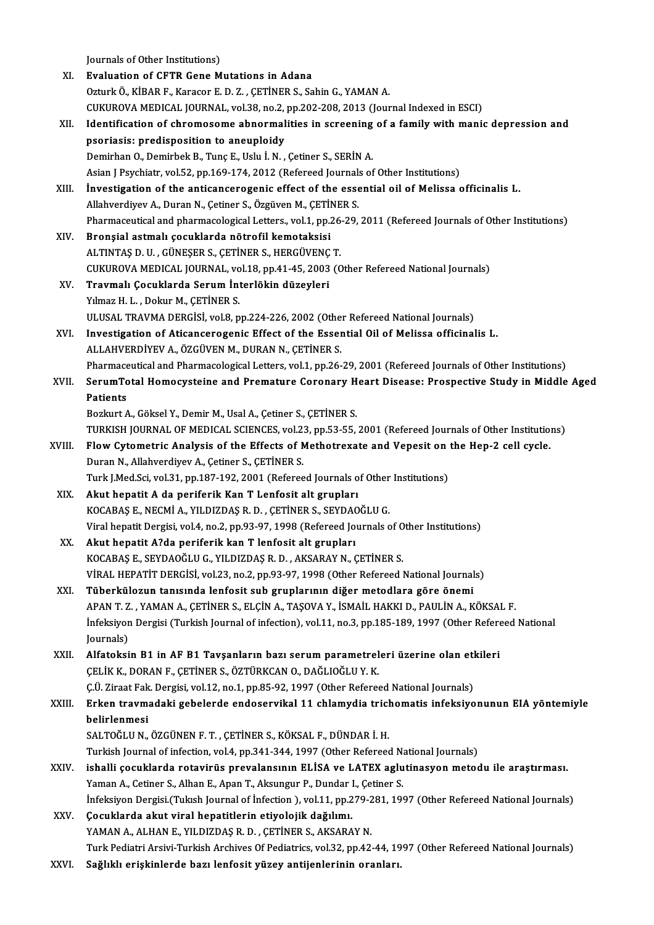Journals of Other Institutions)<br>Fueluation of CETP Cane M

|        | Journals of Other Institutions)                                                                                |
|--------|----------------------------------------------------------------------------------------------------------------|
| XI.    | <b>Evaluation of CFTR Gene Mutations in Adana</b>                                                              |
|        | Ozturk Ö., KİBAR F., Karacor E. D. Z., ÇETİNER S., Sahin G., YAMAN A.                                          |
|        | CUKUROVA MEDICAL JOURNAL, vol.38, no.2, pp.202-208, 2013 (Journal Indexed in ESCI)                             |
| XII.   | Identification of chromosome abnormalities in screening of a family with manic depression and                  |
|        | psoriasis: predisposition to aneuploidy                                                                        |
|        | Demirhan O., Demirbek B., Tunç E., Uslu İ. N., Çetiner S., SERİN A.                                            |
|        | Asian J Psychiatr, vol.52, pp.169-174, 2012 (Refereed Journals of Other Institutions)                          |
| XIII.  | Investigation of the anticancerogenic effect of the essential oil of Melissa officinalis L.                    |
|        | Allahverdiyev A., Duran N., Çetiner S., Özgüven M., ÇETİNER S.                                                 |
|        | Pharmaceutical and pharmacological Letters., vol.1, pp.26-29, 2011 (Refereed Journals of Other Institutions)   |
| XIV.   | Bronşial astmalı çocuklarda nötrofil kemotaksisi                                                               |
|        | ALTINTAS D. U., GÜNEŞER S., ÇETİNER S., HERGÜVENÇ T.                                                           |
|        | CUKUROVA MEDICAL JOURNAL, vol.18, pp.41-45, 2003 (Other Refereed National Journals)                            |
| XV.    | Travmalı Çocuklarda Serum İnterlökin düzeyleri                                                                 |
|        | Yılmaz H. L., Dokur M., ÇETİNER S.                                                                             |
|        | ULUSAL TRAVMA DERGISI, vol.8, pp.224-226, 2002 (Other Refereed National Journals)                              |
| XVI.   | Investigation of Aticancerogenic Effect of the Essential Oil of Melissa officinalis L.                         |
|        | ALLAHVERDİYEV A., ÖZGÜVEN M., DURAN N., ÇETİNER S.                                                             |
|        | Pharmaceutical and Pharmacological Letters, vol.1, pp.26-29, 2001 (Refereed Journals of Other Institutions)    |
| XVII.  | SerumTotal Homocysteine and Premature Coronary Heart Disease: Prospective Study in Middle Aged                 |
|        | <b>Patients</b>                                                                                                |
|        | Bozkurt A., Göksel Y., Demir M., Usal A., Çetiner S., ÇETİNER S.                                               |
|        | TURKISH JOURNAL OF MEDICAL SCIENCES, vol.23, pp.53-55, 2001 (Refereed Journals of Other Institutions)          |
| XVIII. | Flow Cytometric Analysis of the Effects of Methotrexate and Vepesit on the Hep-2 cell cycle.                   |
|        | Duran N., Allahverdiyev A., Cetiner S., CETİNER S.                                                             |
|        | Turk J.Med.Sci, vol.31, pp.187-192, 2001 (Refereed Journals of Other Institutions)                             |
| XIX.   | Akut hepatit A da periferik Kan T Lenfosit alt grupları                                                        |
|        | KOCABAŞ E., NECMİ A., YILDIZDAŞ R. D., ÇETİNER S., SEYDAOĞLU G.                                                |
|        | Viral hepatit Dergisi, vol.4, no.2, pp.93-97, 1998 (Refereed Journals of Other Institutions)                   |
| XX.    | Akut hepatit A?da periferik kan T lenfosit alt grupları                                                        |
|        | KOCABAŞ E., SEYDAOĞLU G., YILDIZDAŞ R. D., AKSARAY N., ÇETİNER S.                                              |
|        | VİRAL HEPATİT DERGİSİ, vol.23, no.2, pp.93-97, 1998 (Other Refereed National Journals)                         |
| XXI.   | Tüberkülozun tanısında lenfosit sub gruplarının diğer metodlara göre önemi                                     |
|        | APAN T. Z., YAMAN A., ÇETİNER S., ELÇİN A., TAŞOVA Y., İSMAİL HAKKI D., PAULİN A., KÖKSAL F.                   |
|        | Infeksiyon Dergisi (Turkish Journal of infection), vol.11, no.3, pp.185-189, 1997 (Other Refereed National     |
|        | Journals)                                                                                                      |
| XXII.  | Alfatoksin B1 in AF B1 Tavşanların bazı serum parametreleri üzerine olan etkileri                              |
|        | ÇELİK K., DORAN F., ÇETİNER S., ÖZTÜRKCAN O., DAĞLIOĞLU Y. K.                                                  |
|        | C.Ü. Ziraat Fak. Dergisi, vol.12, no.1, pp.85-92, 1997 (Other Refereed National Journals)                      |
| XXIII. | Erken travmadaki gebelerde endoservikal 11 chlamydia trichomatis infeksiyonunun EIA yöntemiyle                 |
|        | belirlenmesi                                                                                                   |
|        | SALTOĞLU N., ÖZGÜNEN F. T., ÇETİNER S., KÖKSAL F., DÜNDAR İ. H.                                                |
| XXIV.  | Turkish Journal of infection, vol.4, pp.341-344, 1997 (Other Refereed National Journals)                       |
|        | ishalli çocuklarda rotavirüs prevalansının ELİSA ve LATEX aglutinasyon metodu ile araştırması.                 |
|        | Yaman A., Cetiner S., Alhan E., Apan T., Aksungur P., Dundar I., Çetiner S.                                    |
|        | Infeksiyon Dergisi (Tukısh Journal of İnfection), vol.11, pp.279-281, 1997 (Other Refereed National Journals)  |
| XXV.   | Çocuklarda akut viral hepatitlerin etiyolojik dağılımı.                                                        |
|        | YAMAN A., ALHAN E., YILDIZDAŞ R. D., ÇETİNER S., AKSARAY N.                                                    |
|        | Turk Pediatri Arsivi-Turkish Archives Of Pediatrics, vol.32, pp.42-44, 1997 (Other Refereed National Journals) |
| XXVI.  | Sağlıklı erişkinlerde bazı lenfosit yüzey antijenlerinin oranları.                                             |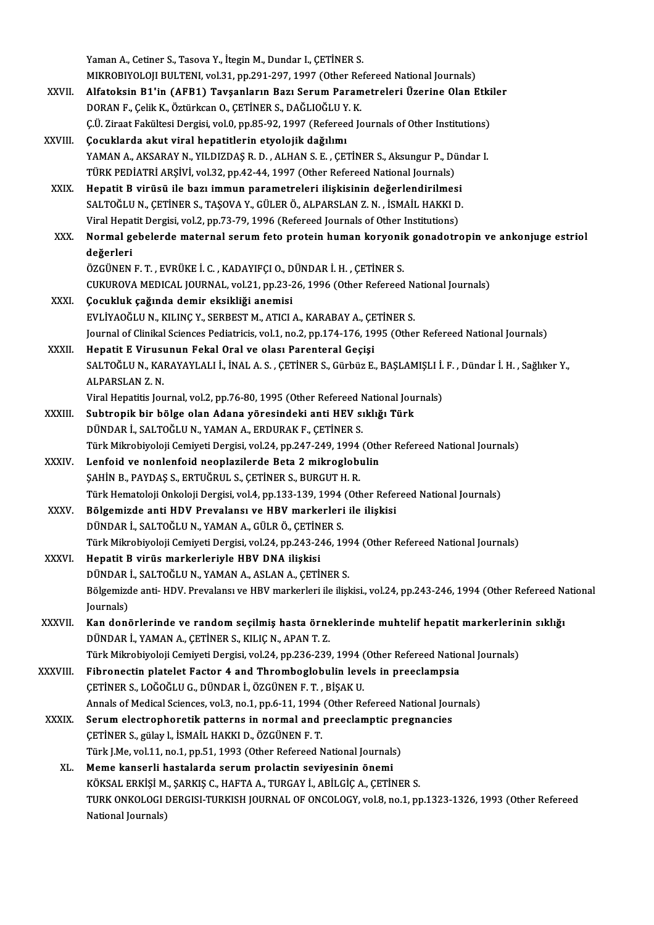|              | Yaman A., Cetiner S., Tasova Y., İtegin M., Dundar I., ÇETİNER S.                                                                                            |
|--------------|--------------------------------------------------------------------------------------------------------------------------------------------------------------|
|              | MIKROBIYOLOJI BULTENI, vol.31, pp.291-297, 1997 (Other Refereed National Journals)                                                                           |
| XXVII.       | Alfatoksin B1'in (AFB1) Tavşanların Bazı Serum Parametreleri Üzerine Olan Etkiler                                                                            |
|              | DORAN F., Çelik K., Öztürkcan O., ÇETİNER S., DAĞLIOĞLU Y. K.                                                                                                |
|              | Ç.Ü. Ziraat Fakültesi Dergisi, vol.0, pp.85-92, 1997 (Refereed Journals of Other Institutions)                                                               |
| XXVIII.      | Çocuklarda akut viral hepatitlerin etyolojik dağılımı                                                                                                        |
|              | YAMAN A., AKSARAY N., YILDIZDAŞ R. D., ALHAN S. E., ÇETİNER S., Aksungur P., Dündar I.                                                                       |
|              | TÜRK PEDİATRİ ARŞİVİ, vol.32, pp.42-44, 1997 (Other Refereed National Journals)                                                                              |
| XXIX.        | Hepatit B virüsü ile bazı immun parametreleri ilişkisinin değerlendirilmesi                                                                                  |
|              | SALTOĞLU N., ÇETİNER S., TAŞOVA Y., GÜLER Ö., ALPARSLAN Z. N. , İSMAİL HAKKI D.                                                                              |
|              | Viral Hepatit Dergisi, vol.2, pp.73-79, 1996 (Refereed Journals of Other Institutions)                                                                       |
| XXX.         | Normal gebelerde maternal serum feto protein human koryonik gonadotropin ve ankonjuge estriol                                                                |
|              | değerleri                                                                                                                                                    |
|              | ÖZGÜNEN F. T., EVRÜKE İ. C., KADAYIFÇI O., DÜNDAR İ. H., ÇETİNER S.                                                                                          |
|              | CUKUROVA MEDICAL JOURNAL, vol.21, pp.23-26, 1996 (Other Refereed National Journals)                                                                          |
| XXXI.        | Çocukluk çağında demir eksikliği anemisi                                                                                                                     |
|              | EVLİYAOĞLU N., KILINÇ Y., SERBEST M., ATICI A., KARABAY A., ÇETİNER S.                                                                                       |
|              | Journal of Clinikal Sciences Pediatricis, vol.1, no.2, pp.174-176, 1995 (Other Refereed National Journals)                                                   |
| XXXII.       | Hepatit E Virusunun Fekal Oral ve olası Parenteral Geçişi                                                                                                    |
|              | SALTOĞLU N., KARAYAYLALI İ., İNAL A. S., ÇETİNER S., Gürbüz E., BAŞLAMIŞLI İ. F., Dündar İ. H., Sağlıker Y.,                                                 |
|              | ALPARSLAN Z.N.                                                                                                                                               |
|              | Viral Hepatitis Journal, vol.2, pp.76-80, 1995 (Other Refereed National Journals)                                                                            |
| XXXIII.      | Subtropik bir bölge olan Adana yöresindeki anti HEV sıklığı Türk                                                                                             |
|              | DÜNDAR İ., SALTOĞLU N., YAMAN A., ERDURAK F., ÇETİNER S.                                                                                                     |
| <b>XXXIV</b> | Türk Mikrobiyoloji Cemiyeti Dergisi, vol.24, pp.247-249, 1994 (Other Refereed National Journals)<br>Lenfoid ve nonlenfoid neoplazilerde Beta 2 mikroglobulin |
|              | ŞAHİN B., PAYDAŞ S., ERTUĞRUL S., ÇETİNER S., BURGUT H. R.                                                                                                   |
|              | Türk Hematoloji Onkoloji Dergisi, vol.4, pp.133-139, 1994 (Other Refereed National Journals)                                                                 |
| XXXV         | Bölgemizde anti HDV Prevalansı ve HBV markerleri ile ilişkisi                                                                                                |
|              | DÜNDAR İ., SALTOĞLU N., YAMAN A., GÜLR Ö., ÇETİNER S.                                                                                                        |
|              | Türk Mikrobiyoloji Cemiyeti Dergisi, vol.24, pp.243-246, 1994 (Other Refereed National Journals)                                                             |
| XXXVI.       | Hepatit B virüs markerleriyle HBV DNA ilişkisi                                                                                                               |
|              | DÜNDAR İ., SALTOĞLU N., YAMAN A., ASLAN A., ÇETİNER S.                                                                                                       |
|              | Bölgemizde anti-HDV. Prevalansı ve HBV markerleri ile ilişkisi., vol.24, pp.243-246, 1994 (Other Refereed National                                           |
|              | Journals)                                                                                                                                                    |
| XXXVII.      | Kan donörlerinde ve random seçilmiş hasta örneklerinde muhtelif hepatit markerlerinin sıklığı                                                                |
|              | DÜNDAR İ., YAMAN A., ÇETİNER S., KILIÇ N., APAN T. Z.                                                                                                        |
|              | Türk Mikrobiyoloji Cemiyeti Dergisi, vol.24, pp.236-239, 1994 (Other Refereed National Journals)                                                             |
| XXXVIII.     | Fibronectin platelet Factor 4 and Thromboglobulin levels in preeclampsia                                                                                     |
|              | ÇETİNER S., LOĞOĞLU G., DÜNDAR İ., ÖZGÜNEN F. T. , BİŞAK U.                                                                                                  |
|              | Annals of Medical Sciences, vol.3, no.1, pp.6-11, 1994 (Other Refereed National Journals)                                                                    |
| <b>XXXIX</b> | Serum electrophoretik patterns in normal and preeclamptic pregnancies                                                                                        |
|              | ÇETİNER S., gülay I., İSMAİL HAKKI D., ÖZGÜNEN F. T.                                                                                                         |
|              | Türk J.Me, vol.11, no.1, pp.51, 1993 (Other Refereed National Journals)                                                                                      |
| XL.          | Meme kanserli hastalarda serum prolactin seviyesinin önemi                                                                                                   |
|              | KÖKSAL ERKİŞİ M., ŞARKIŞ C., HAFTA A., TURGAY İ., ABİLGİÇ A., ÇETİNER S.                                                                                     |
|              | TURK ONKOLOGI DERGISI-TURKISH JOURNAL OF ONCOLOGY, vol.8, no.1, pp.1323-1326, 1993 (Other Refereed                                                           |
|              | National Journals)                                                                                                                                           |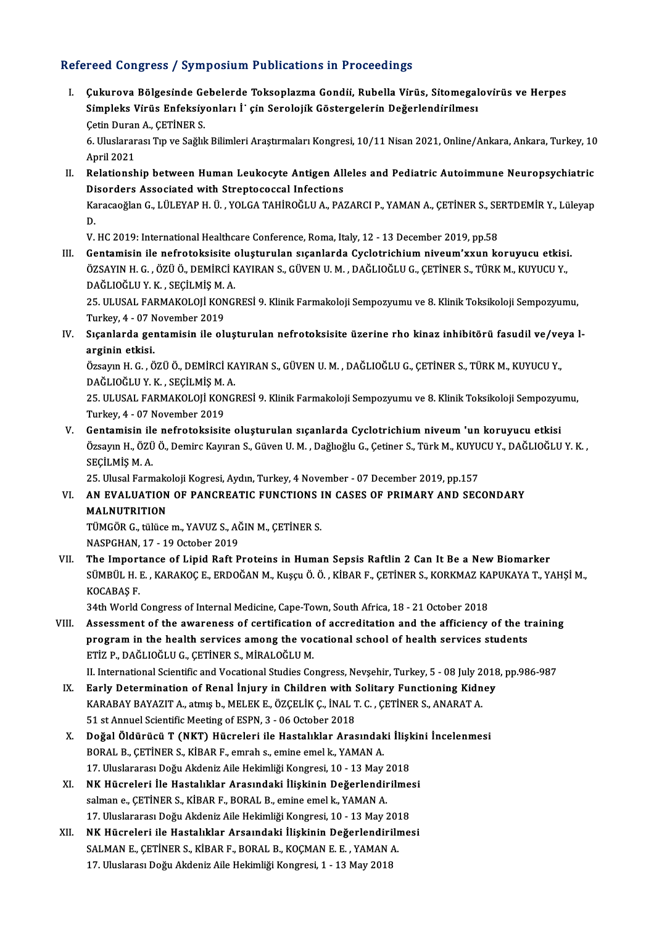### Refereed Congress / Symposium Publications in Proceedings

efereed Congress / Symposium Publications in Proceedings<br>I. Cukurova Bölgesinde Gebelerde Toksoplazma Gondii, Rubella Virüs, Sitomegalovirüs ve Herpes<br>Simpleks Virüs Enfeksivenları İ. sin Sanalojik Gösterselerin Değerlendi Toca Göngröss / symposium i usiteations in i rocceumgs<br>Çukurova Bölgesinde Gebelerde Toksoplazma Gondii, Rubella Virüs, Sitomegal<br>Simpleks Virüs Enfeksiyonları İ' çin Serolojik Göstergelerin Değerlendirilmesı Çukurova Bölgesinde Ge<br>Simpleks Virüs Enfeksiy<br>Çetin Duran A., ÇETİNER S.<br>6 Hiyelararası Tın ve Sağlı

Simpleks Virüs Enfeksiyonları İ'çin Serolojik Göstergelerin Değerlendirilmesı<br>Çetin Duran A., ÇETİNER S.<br>6. Uluslararası Tıp ve Sağlık Bilimleri Araştırmaları Kongresi, 10/11 Nisan 2021, Online/Ankara, Ankara, Turkey, 10<br>A Cetin Durar<br>6. Uluslarar<br>April 2021<br>Pelationsh 6. Uluslararası Tıp ve Sağlık Bilimleri Araştırmaları Kongresi, 10/11 Nisan 2021, Online/Ankara, Ankara, Turkey, 10<br>April 2021<br>II. Relationship between Human Leukocyte Antigen Alleles and Pediatric Autoimmune Neuropsychiat

April 2021<br>Relationship between Human Leukocyte Antigen All<br>Disorders Associated with Streptococcal Infections<br>Kanagağlan G. LÜLEYARH Ü. VOLGA TAHIROĞLUA, BA' Relationship between Human Leukocyte Antigen Alleles and Pediatric Autoimmune Neuropsychiatric<br>Disorders Associated with Streptococcal Infections<br>Karacaoğlan G., LÜLEYAP H. Ü. , YOLGA TAHİROĞLU A., PAZARCI P., YAMAN A., ÇE

Di<br>Ka<br><sub>V</sub> Karacaoğlan G., LÜLEYAP H. Ü. , YOLGA TAHİROĞLU A., PAZARCI P., YAMAN A., ÇETİNER S., SERTDEMİR Y., Lüleyap<br>D.<br>V. HC 2019: International Healthcare Conference, Roma, Italy, 12 - 13 December 2019, pp.58

III. Gentamisin ile nefrotoksisite oluşturulan sıçanlarda Cyclotrichium niveum'xxun koruyucu etkisi. V. HC 2019: International Healthcare Conference, Roma, Italy, 12 - 13 December 2019, pp.58<br>Gentamisin ile nefrotoksisite oluşturulan sıçanlarda Cyclotrichium niveum'xxun koruyucu etkisi<br>ÖZSAYIN H. G. , ÖZÜ Ö., DEMİRCİ KAYI Gentamisin ile nefrotoksisite<br>ÖZSAYIN H. G. , ÖZÜ Ö., DEMİRCİ F<br>DAĞLIOĞLU Y. K. , SEÇİLMİŞ M. A.<br>25. III USAL FARMAKOLOJİ KONCİ ÖZSAYIN H. G. , ÖZÜ Ö., DEMİRCİ KAYIRAN S., GÜVEN U. M. , DAĞLIOĞLU G., ÇETİNER S., TÜRK M., KUYUCU Y.,<br>DAĞLIOĞLU Y. K. , SEÇİLMİŞ M. A.<br>25. ULUSAL FARMAKOLOJİ KONGRESİ 9. Klinik Farmakoloji Sempozyumu ve 8. Klinik Toksiko

DAĞLIOĞLU Y. K. , SEÇİLMİŞ M.<br>25. ULUSAL FARMAKOLOJİ KON<br>Turkey, 4 - 07 November 2019<br>Sısanlarda santamisin ile oli

25. ULUSAL FARMAKOLOJİ KONGRESİ 9. Klinik Farmakoloji Sempozyumu ve 8. Klinik Toksikoloji Sempozyumu,<br>Turkey, 4 - 07 November 2019<br>IV. Sıçanlarda gentamisin ile oluşturulan nefrotoksisite üzerine rho kinaz inhibitörü f Turkey, 4 - 07 N<br>Sıçanlarda gel<br>arginin etkisi.<br>Özgəyn H.C. Ö Sıçanlarda gentamisin ile oluşturulan nefrotoksisite üzerine rho kinaz inhibitörü fasudil ve/ve<br>arginin etkisi.<br>Özsayın H. G. , ÖZÜ Ö., DEMİRCİ KAYIRAN S., GÜVEN U. M. , DAĞLIOĞLU G., ÇETİNER S., TÜRK M., KUYUCU Y.,<br>DAĞLIO

arginin etkisi.<br>Özsayın H. G. , ÖZÜ Ö., DEMİRCİ KA.<br>DAĞLIOĞLU Y. K. , SEÇİLMİŞ M. A.<br>25. HU USAL FARMAKOLOJİ KONCİ Özsayın H. G. , ÖZÜ Ö., DEMİRCİ KAYIRAN S., GÜVEN U. M. , DAĞLIOĞLU G., ÇETİNER S., TÜRK M., KUYUCU Y.,<br>DAĞLIOĞLU Y. K. , SEÇİLMİŞ M. A.<br>25. ULUSAL FARMAKOLOJİ KONGRESİ 9. Klinik Farmakoloji Sempozyumu ve 8. Klinik Toksiko

DAĞLIOĞLU Y. K. , SEÇİLMİŞ M.<br>25. ULUSAL FARMAKOLOJİ KON<br>Turkey, 4 - 07 November 2019<br>Cantamiain ilə nəfnətəlmişik 25. ULUSAL FARMAKOLOJİ KONGRESİ 9. Klinik Farmakoloji Sempozyumu ve 8. Klinik Toksikoloji Sempozyu<br>Turkey, 4 - 07 November 2019<br>V. Gentamisin ile nefrotoksisite oluşturulan sıçanlarda Cyclotrichium niveum 'un koruyucu etki

Turkey, 4 - 07 November 2019<br>Gentamisin ile nefrotoksisite oluşturulan sıçanlarda Cyclotrichium niveum 'un koruyucu etkisi<br>Özsayın H., ÖZÜ Ö., Demirc Kayıran S., Güven U. M. , Dağlıoğlu G., Çetiner S., Türk M., KUYUCU Y., V. Gentamisin ile nefrotoksisite oluşturulan sıçanlarda Cyclotrichium niveum 'un koruyucu etkisi<br>Özsayın H., ÖZÜ Ö., Demirc Kayıran S., Güven U. M. , Dağlıoğlu G., Çetiner S., Türk M., KUYUCU Y., DAĞLIOĞLU<br>SECİLMİS M. A. Özsayın H., ÖZÜ Ö., Demirc Kayıran S., Güven U. M. , Dağlıoğlu G., Çetiner S., Türk M., KUYU<br>SEÇİLMİŞ M. A.<br>25. Ulusal Farmakoloji Kogresi, Aydın, Turkey, 4 November - 07 December 2019, pp.157<br>AN EVALUATION OF PANCREATIC E

### SEÇİLMİŞ M. A.<br>25. Ulusal Farmakoloji Kogresi, Aydın, Turkey, 4 November - 07 December 2019, pp.157<br>VI. AN EVALUATION OF PANCREATIC FUNCTIONS IN CASES OF PRIMARY AND SECONDARY<br>MALNUTPITION 25. Ulusal Farmakoloji Kogresi, Aydın, Turkey, 4 November - 07 December 2019, pp.157<br>AN EVALUATION OF PANCREATIC FUNCTIONS IN CASES OF PRIMARY AND SEC<br>MALNUTRITION AN EVALUATION OF PANCREATIC FUNCTIONS I<br>MALNUTRITION<br>TÜMGÖR G., tülüce m., YAVUZ S., AĞIN M., ÇETİNER S.<br>MASPCHAN 17, 19 October 2019

TÜMGÖR G., tülüce m., YAVUZ S., AĞIN M., ÇETİNER S.<br>NASPGHAN, 17 - 19 October 2019

VII. The Importance of Lipid Raft Proteins in Human Sepsis Raftlin 2 Can It Be a New Biomarker NASPGHAN, 17 - 19 October 2019<br>The Importance of Lipid Raft Proteins in Human Sepsis Raftlin 2 Can It Be a New Biomarker<br>SÜMBÜL H. E. , KARAKOÇ E., ERDOĞAN M., Kuşçu Ö. Ö. , KİBAR F., ÇETİNER S., KORKMAZ KAPUKAYA T., YAHŞİ The Import<br>SÜMBÜL H. I<br>KOCABAŞ F.<br>24tb World SÜMBÜL H. E. , KARAKOÇ E., ERDOĞAN M., Kuşçu Ö. Ö. , KİBAR F., ÇETİNER S., KORKMAZ KA<br>KOCABAŞ F.<br>34th World Congress of Internal Medicine, Cape-Town, South Africa, 18 - 21 October 2018<br>Assessment of the averseness of senti

KOCABAŞ F.<br>34th World Congress of Internal Medicine, Cape-Town, South Africa, 18 - 21 October 2018<br>VIII. Assessment of the awareness of certification of accreditation and the afficiency of the training<br>program in the bealt 34th World Congress of Internal Medicine, Cape-Town, South Africa, 18 - 21 October 2018<br>Assessment of the awareness of certification of accreditation and the afficiency of the ti<br>program in the health services among the vo ETİZ P., DAĞLIOĞLU G., ÇETİNER S., MİRALOĞLU M.<br>II. International Scientific and Vocational Studies Congress, Nevsehir, Turkey, 5 - 08 July 2018, pp.986-987 program in the health services among the vocational school of health services students

- ETİZ P., DAĞLIOĞLU G., ÇETİNER S., MİRALOĞLU M.<br>II. International Scientific and Vocational Studies Congress, Nevşehir, Turkey, 5 08 July 2018<br>IX. Early Determination of Renal İnjury in Children with Solitary Functioning II. International Scientific and Vocational Studies Congress, Nevşehir, Turkey, 5 - 08 July 2<br>Early Determination of Renal İnjury in Children with Solitary Functioning Kidn<br>KARABAY BAYAZIT A., atmış b., MELEK E., ÖZÇELİK Ç Early Determination of Renal İnjury in Children with !<br>KARABAY BAYAZIT A., atmış b., MELEK E., ÖZÇELİK Ç., İNAL 1<br>51 st Annuel Scientific Meeting of ESPN, 3 - 06 October 2018<br>Peğal Öldünüsü T. (NKT), Hüspeleni ile Hestalık KARABAY BAYAZIT A., atmış b., MELEK E., ÖZÇELİK Ç., İNAL T. C. , ÇETİNER S., ANARAT A.<br>51 st Annuel Scientific Meeting of ESPN, 3 - 06 October 2018<br>Doğal Öldürücü T (NKT) Hücreleri ile Hastalıklar Arasındaki İlişkini İncel
- 51 st Annuel Scientific Meeting of ESPN, 3 06 October 2018<br>Doğal Öldürücü T (NKT) Hücreleri ile Hastalıklar Arasındak<br>BORAL B., ÇETİNER S., KİBAR F., emrah s., emine emel k., YAMAN A.<br>17 Hluclarerası Doğu Altdoniz Aile H Doğal Öldürücü T (NKT) Hücreleri ile Hastalıklar Arasındaki İlişl<br>BORAL B., ÇETİNER S., KİBAR F., emrah s., emine emel k., YAMAN A.<br>17. Uluslararası Doğu Akdeniz Aile Hekimliği Kongresi, 10 - 13 May 2018<br>NK Hücreleri İle H BORAL B., ÇETİNER S., KİBAR F., emrah s., emine emel k., YAMAN A.<br>17. Uluslararası Doğu Akdeniz Aile Hekimliği Kongresi, 10 - 13 May 2018<br>XI. NK Hücreleri İle Hastalıklar Arasındaki İlişkinin Değerlendirilmesi
- 17. Uluslararası Doğu Akdeniz Aile Hekimliği Kongresi, 10 13 May 2<br>NK Hücreleri İle Hastalıklar Arasındaki İlişkinin Değerlendir<br>salman e., ÇETİNER S., KİBAR F., BORAL B., emine emel k., YAMAN A.<br>17. Uluslararası Doğu Ak NK Hücreleri İle Hastalıklar Arasındaki İlişkinin Değerlendirilme<br>salman e., ÇETİNER S., KİBAR F., BORAL B., emine emel k., YAMAN A.<br>17. Uluslararası Doğu Akdeniz Aile Hekimliği Kongresi, 10 - 13 May 2018<br>NK Hüsreleri ile salman e., ÇETİNER S., KİBAR F., BORAL B., emine emel k., YAMAN A.<br>17. Uluslararası Doğu Akdeniz Aile Hekimliği Kongresi, 10 - 13 May 2018<br>XII. NK Hücreleri ile Hastalıklar Arsaındaki İlişkinin Değerlendirilmesi<br>SALMAN E.
- 17. Uluslararası Doğu Akdeniz Aile Hekimliği Kongresi, 10 13 May 201<br>NK Hücreleri ile Hastalıklar Arsaındaki İlişkinin Değerlendirili<br>SALMAN E., ÇETİNER S., KİBAR F., BORAL B., KOÇMAN E. E. , YAMAN A.<br>17. Uluslarası Değu NK Hücreleri ile Hastalıklar Arsaındaki İlişkinin Değerlendiri<br>SALMAN E., ÇETİNER S., KİBAR F., BORAL B., KOÇMAN E. E. , YAMAN *I*<br>17. Uluslarası Doğu Akdeniz Aile Hekimliği Kongresi, 1 - 13 May 2018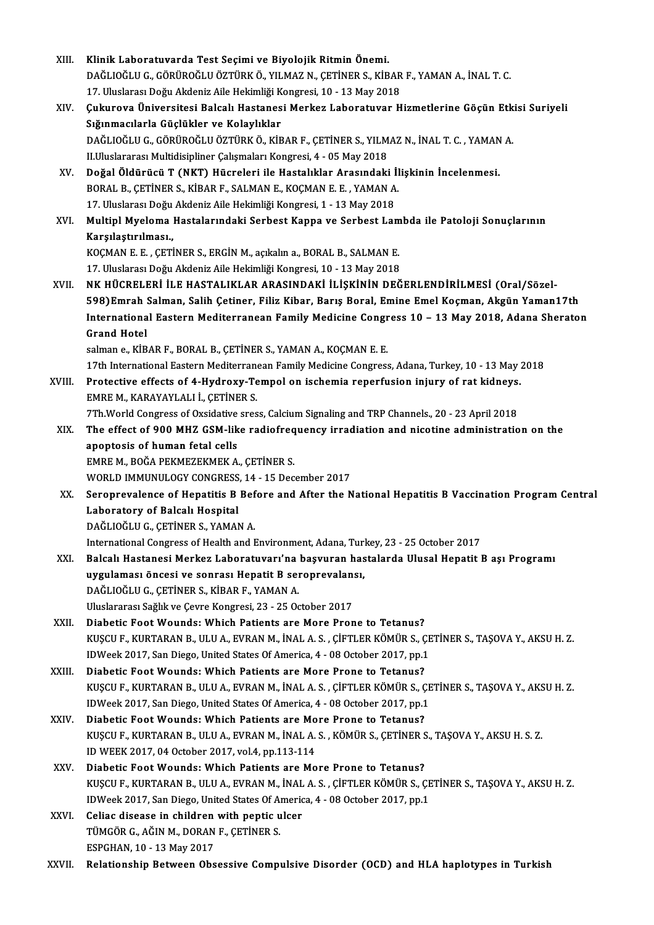| XIII.  | Klinik Laboratuvarda Test Seçimi ve Biyolojik Ritmin Önemi.                                               |
|--------|-----------------------------------------------------------------------------------------------------------|
|        | DAĞLIOĞLU G., GÖRÜROĞLU ÖZTÜRK Ö., YILMAZ N., ÇETİNER S., KİBAR F., YAMAN A., İNAL T. C.                  |
|        | 17. Uluslarası Doğu Akdeniz Aile Hekimliği Kongresi, 10 - 13 May 2018                                     |
| XIV.   | Çukurova Üniversitesi Balcalı Hastanesi Merkez Laboratuvar Hizmetlerine Göçün Etkisi Suriyeli             |
|        | Sığınmacılarla Güçlükler ve Kolaylıklar                                                                   |
|        | DAĞLIOĞLU G., GÖRÜROĞLU ÖZTÜRK Ö., KİBAR F., ÇETİNER S., YILMAZ N., İNAL T. C., YAMAN A.                  |
|        | II.Uluslararası Multidisipliner Çalışmaları Kongresi, 4 - 05 May 2018                                     |
| XV.    | Doğal Öldürücü T (NKT) Hücreleri ile Hastalıklar Arasındaki İlişkinin İncelenmesi.                        |
|        | BORAL B., ÇETİNER S., KİBAR F., SALMAN E., KOÇMAN E. E., YAMAN A.                                         |
|        | 17. Uluslarası Doğu Akdeniz Aile Hekimliği Kongresi, 1 - 13 May 2018                                      |
| XVI.   | Multipl Myeloma Hastalarındaki Serbest Kappa ve Serbest Lambda ile Patoloji Sonuçlarının                  |
|        | Karşılaştırılması,                                                                                        |
|        | KOÇMAN E. E., ÇETİNER S., ERGİN M., açıkalın a., BORAL B., SALMAN E.                                      |
|        | 17. Uluslarası Doğu Akdeniz Aile Hekimliği Kongresi, 10 - 13 May 2018                                     |
| XVII.  | NK HÜCRELERİ İLE HASTALIKLAR ARASINDAKİ İLİŞKİNİN DEĞERLENDİRİLMESİ (Oral/Sözel-                          |
|        | 598) Emrah Salman, Salih Çetiner, Filiz Kibar, Barış Boral, Emine Emel Koçman, Akgün Yaman17th            |
|        | International Eastern Mediterranean Family Medicine Congress 10 - 13 May 2018, Adana Sheraton             |
|        | <b>Grand Hotel</b>                                                                                        |
|        | salman e., KİBAR F., BORAL B., ÇETİNER S., YAMAN A., KOÇMAN E. E.                                         |
|        | 17th International Eastern Mediterranean Family Medicine Congress, Adana, Turkey, 10 - 13 May 2018        |
| XVIII. | Protective effects of 4-Hydroxy-Tempol on ischemia reperfusion injury of rat kidneys.                     |
|        | EMRE M., KARAYAYLALI İ., ÇETİNER S.                                                                       |
|        | 7Th. World Congress of Oxsidative sress, Calcium Signaling and TRP Channels., 20 - 23 April 2018          |
| XIX.   | The effect of 900 MHZ GSM-like radiofrequency irradiation and nicotine administration on the              |
|        | apoptosis of human fetal cells                                                                            |
|        | EMRE M., BOĞA PEKMEZEKMEK A., ÇETİNER S.                                                                  |
|        | WORLD IMMUNULOGY CONGRESS, 14 - 15 December 2017                                                          |
| XX.    | Seroprevalence of Hepatitis B Before and After the National Hepatitis B Vaccination Program Central       |
|        | Laboratory of Balcalı Hospital                                                                            |
|        | DAĞLIOĞLU G., ÇETİNER S., YAMAN A.                                                                        |
|        | International Congress of Health and Environment, Adana, Turkey, 23 - 25 October 2017                     |
| XXI.   | Balcalı Hastanesi Merkez Laboratuvarı'na başvuran hastalarda Ulusal Hepatit B aşı Programı                |
|        | uygulaması öncesi ve sonrası Hepatit B seroprevalansı,                                                    |
|        | DAĞLIOĞLU G., ÇETİNER S., KİBAR F., YAMAN A.                                                              |
|        | Uluslararası Sağlık ve Çevre Kongresi, 23 - 25 October 2017                                               |
| XXII.  | Diabetic Foot Wounds: Which Patients are More Prone to Tetanus?                                           |
|        | KUŞCU F., KURTARAN B., ULU A., EVRAN M., İNAL A. S., ÇİFTLER KÖMÜR S., ÇETİNER S., TAŞOVA Y., AKSU H. Z.  |
|        | IDWeek 2017, San Diego, United States Of America, 4 - 08 October 2017, pp.1                               |
| XXIII. | Diabetic Foot Wounds: Which Patients are More Prone to Tetanus?                                           |
|        | KUŞCU F., KURTARAN B., ULU A., EVRAN M., İNAL A. S., ÇİFTLER KÖMÜR S., ÇETİNER S., TAŞOVA Y., AKSU H. Z.  |
|        | IDWeek 2017, San Diego, United States Of America, 4 - 08 October 2017, pp.1                               |
| XXIV.  | Diabetic Foot Wounds: Which Patients are More Prone to Tetanus?                                           |
|        | KUŞCU F., KURTARAN B., ULU A., EVRAN M., İNAL A. S., KÖMÜR S., ÇETİNER S., TAŞOVA Y., AKSU H. S. Z.       |
|        | ID WEEK 2017, 04 October 2017, vol 4, pp 113-114                                                          |
| XXV    | Diabetic Foot Wounds: Which Patients are More Prone to Tetanus?                                           |
|        | KUŞCU F., KURTARAN B., ULU A., EVRAN M., İNAL A. S. , ÇİFTLER KÖMÜR S., ÇETİNER S., TAŞOVA Y., AKSU H. Z. |
|        | IDWeek 2017, San Diego, United States Of America, 4 - 08 October 2017, pp.1                               |
| XXVI.  | Celiac disease in children with peptic ulcer                                                              |
|        | TÜMGÖR G., AĞIN M., DORAN F., ÇETİNER S.                                                                  |
|        | ESPGHAN, 10 - 13 May 2017                                                                                 |
| XXVII. | Relationship Between Obsessive Compulsive Disorder (OCD) and HLA haplotypes in Turkish                    |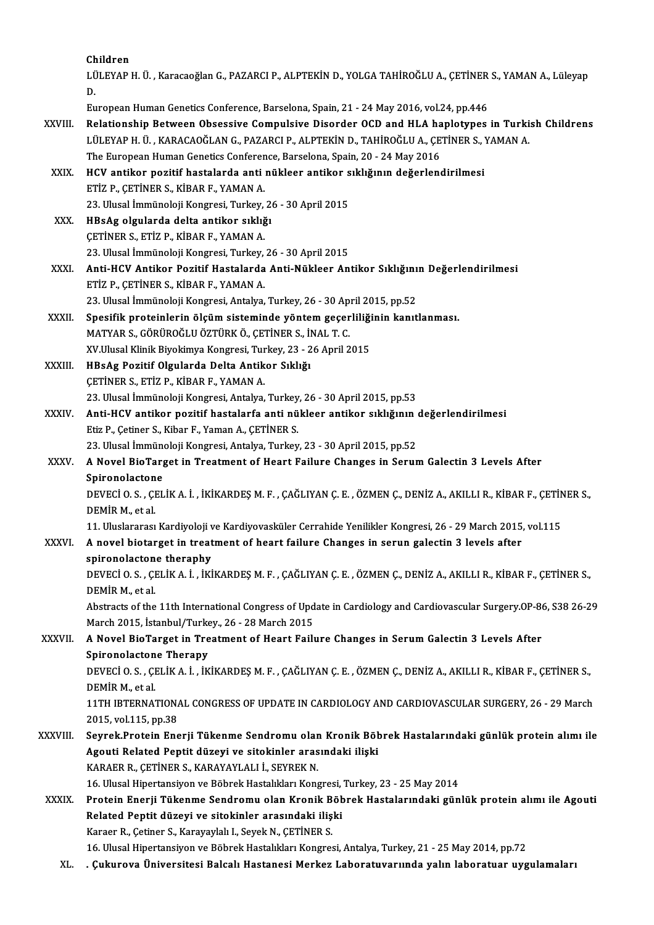| Children    |
|-------------|
| tilitevan i |

|               | Children                                                                                                                          |
|---------------|-----------------------------------------------------------------------------------------------------------------------------------|
|               | LÜLEYAP H. Ü., Karacaoğlan G., PAZARCI P., ALPTEKİN D., YOLGA TAHİROĞLU A., ÇETİNER S., YAMAN A., Lüleyap<br>D.                   |
|               | European Human Genetics Conference, Barselona, Spain, 21 - 24 May 2016, vol.24, pp.446                                            |
| <b>XXVIII</b> | Relationship Between Obsessive Compulsive Disorder OCD and HLA haplotypes in Turkish Childrens                                    |
|               | LÜLEYAP H. Ü., KARACAOĞLAN G., PAZARCI P., ALPTEKİN D., TAHİROĞLU A., ÇETİNER S., YAMAN A.                                        |
|               | The European Human Genetics Conference, Barselona, Spain, 20 - 24 May 2016                                                        |
| XXIX.         | HCV antikor pozitif hastalarda anti nükleer antikor sıklığının değerlendirilmesi                                                  |
|               | ETİZ P., ÇETİNER S., KİBAR F., YAMAN A.                                                                                           |
|               | 23. Ulusal İmmünoloji Kongresi, Turkey, 26 - 30 April 2015                                                                        |
| XXX.          | HBsAg olgularda delta antikor sıklığı                                                                                             |
|               | ÇETİNER S., ETİZ P., KİBAR F., YAMAN A.                                                                                           |
|               | 23. Ulusal İmmünoloji Kongresi, Turkey, 26 - 30 April 2015                                                                        |
| XXXI.         | Anti-HCV Antikor Pozitif Hastalarda Anti-Nükleer Antikor Sıklığının Değerlendirilmesi                                             |
|               | ETİZ P., ÇETİNER S., KİBAR F., YAMAN A.                                                                                           |
|               | 23. Ulusal İmmünoloji Kongresi, Antalya, Turkey, 26 - 30 April 2015, pp.52                                                        |
| XXXII.        | Spesifik proteinlerin ölçüm sisteminde yöntem geçerliliğinin kanıtlanması.                                                        |
|               | MATYAR S., GÖRÜROĞLU ÖZTÜRK Ö., ÇETİNER S., İNAL T. C.                                                                            |
|               | XV Ulusal Klinik Biyokimya Kongresi, Turkey, 23 - 26 April 2015                                                                   |
| XXXIII.       | HBsAg Pozitif Olgularda Delta Antikor Sıklığı                                                                                     |
|               | ÇETİNER S., ETİZ P., KİBAR F., YAMAN A.                                                                                           |
|               | 23. Ulusal İmmünoloji Kongresi, Antalya, Turkey, 26 - 30 April 2015, pp.53                                                        |
| XXXIV.        | Anti-HCV antikor pozitif hastalarfa anti nükleer antikor sıklığının değerlendirilmesi                                             |
|               | Etiz P., Çetiner S., Kibar F., Yaman A., ÇETİNER S.<br>23. Ulusal İmmünoloji Kongresi, Antalya, Turkey, 23 - 30 April 2015, pp 52 |
| XXXV.         | A Novel BioTarget in Treatment of Heart Failure Changes in Serum Galectin 3 Levels After                                          |
|               | Spironolactone                                                                                                                    |
|               | DEVECI O. S., ÇELİK A. İ., İKİKARDEŞ M. F., ÇAĞLIYAN Ç. E., ÖZMEN Ç., DENİZ A., AKILLI R., KİBAR F., ÇETİNER S.,                  |
|               | DEMIR M, et al.                                                                                                                   |
|               | 11. Uluslararası Kardiyoloji ve Kardiyovasküler Cerrahide Yenilikler Kongresi, 26 - 29 March 2015, vol.115                        |
| <b>XXXVI</b>  | A novel biotarget in treatment of heart failure Changes in serun galectin 3 levels after                                          |
|               | spironolactone theraphy                                                                                                           |
|               | DEVECI O. S., ÇELİK A. İ., İKİKARDEŞ M. F., ÇAĞLIYAN Ç. E., ÖZMEN Ç., DENİZ A., AKILLI R., KİBAR F., ÇETİNER S.,                  |
|               | DEMİR M., et al.                                                                                                                  |
|               | Abstracts of the 11th International Congress of Update in Cardiology and Cardiovascular Surgery. OP-86, S38 26-29                 |
|               | March 2015, İstanbul/Turkey., 26 - 28 March 2015                                                                                  |
| XXXVII.       | A Novel BioTarget in Treatment of Heart Failure Changes in Serum Galectin 3 Levels After                                          |
|               | <b>Spironolactone Therapy</b>                                                                                                     |
|               | DEVECI O. S., ÇELİK A. İ., İKİKARDEŞ M. F., ÇAĞLIYAN Ç. E., ÖZMEN Ç., DENİZ A., AKILLI R., KİBAR F., ÇETİNER S.,                  |
|               | DEMIR M, et al.                                                                                                                   |
|               | 11TH IBTERNATIONAL CONGRESS OF UPDATE IN CARDIOLOGY AND CARDIOVASCULAR SURGERY, 26 - 29 March                                     |
| XXXVIII.      | 2015, vol 115, pp 38<br>Seyrek.Protein Enerji Tükenme Sendromu olan Kronik Böbrek Hastalarındaki günlük protein alımı ile         |
|               | Agouti Related Peptit düzeyi ve sitokinler arasındaki ilişki                                                                      |
|               | KARAER R., ÇETİNER S., KARAYAYLALI İ., SEYREK N.                                                                                  |
|               | 16. Ulusal Hipertansiyon ve Böbrek Hastalıkları Kongresi, Turkey, 23 - 25 May 2014                                                |
| <b>XXXIX</b>  | Protein Enerji Tükenme Sendromu olan Kronik Böbrek Hastalarındaki günlük protein alımı ile Agouti                                 |
|               | Related Peptit düzeyi ve sitokinler arasındaki ilişki                                                                             |
|               | Karaer R., Çetiner S., Karayaylalı I., Seyek N., ÇETİNER S.                                                                       |
|               | 16. Ulusal Hipertansiyon ve Böbrek Hastalıkları Kongresi, Antalya, Turkey, 21 - 25 May 2014, pp.72                                |
| XL.           | . Çukurova Üniversitesi Balcalı Hastanesi Merkez Laboratuvarıında yalın laboratuar uygulamaları                                   |
|               |                                                                                                                                   |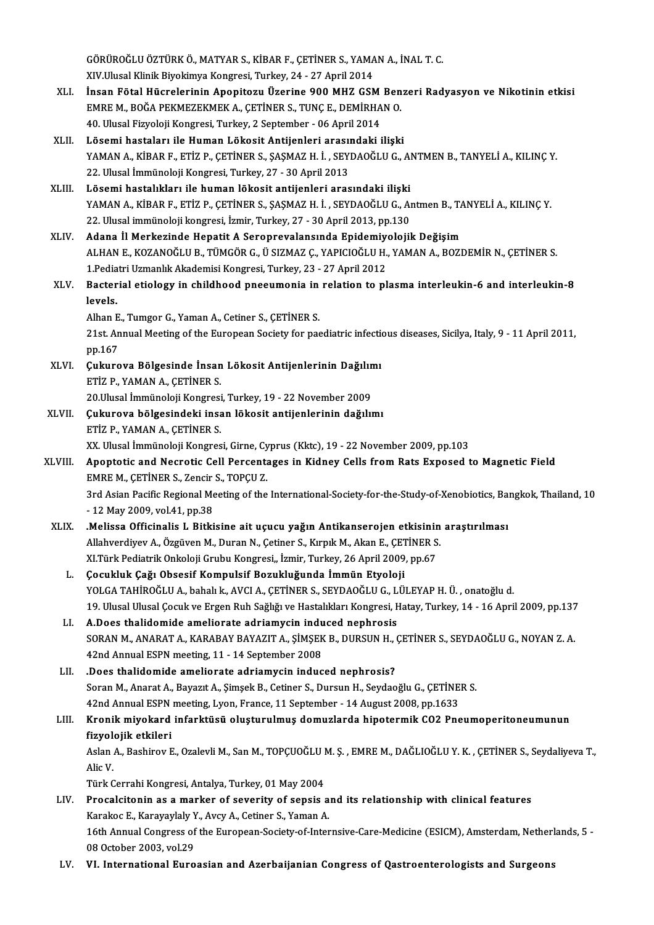GÖRÜROĞLU ÖZTÜRK Ö., MATYAR S., KİBAR F., ÇETİNER S., YAMAN A., İNAL T. C.<br>XIV Ulyası Klipik Biyokimya Kongresi, Turkey, 24,, 27 April 2014 GÖRÜROĞLU ÖZTÜRK Ö., MATYAR S., KİBAR F., ÇETİNER S., YAMA<br>XIV.Ulusal Klinik Biyokimya Kongresi, Turkey, 24 - 27 April 2014<br>İngan Fötal Hüqueleninin Anenitegu Üzenine 900 MHZ CSA

- GÖRÜROĞLU ÖZTÜRK Ö., MATYAR S., KİBAR F., ÇETİNER S., YAMAN A., İNAL T. C.<br>XIV.Ulusal Klinik Biyokimya Kongresi, Turkey, 24 27 April 2014<br>XLI. İnsan Fötal Hücrelerinin Apopitozu Üzerine 900 MHZ GSM Benzeri Radyasyon XIV.Ulusal Klinik Biyokimya Kongresi, Turkey, 24 - 27 April 2014<br>İnsan Fötal Hücrelerinin Apopitozu Üzerine 900 MHZ GSM Ben<br>EMRE M., BOĞA PEKMEZEKMEK A., ÇETİNER S., TUNÇ E., DEMİRHAN O.<br>40 Hlusal Eiryalaji Kongresi Turkey İnsan Fötal Hücrelerinin Apopitozu Üzerine 900 MHZ GSM<br>EMRE M., BOĞA PEKMEZEKMEK A., ÇETİNER S., TUNÇ E., DEMİRHA<br>40. Ulusal Fizyoloji Kongresi, Turkey, 2 September - 06 April 2014<br>Lösemi bastaları ile Human Lökesit Antije EMRE M., BOĞA PEKMEZEKMEK A., ÇETİNER S., TUNÇ E., DEMİRHAN O.<br>40. Ulusal Fizyoloji Kongresi, Turkey, 2 September - 06 April 2014<br>XLII. Lösemi hastaları ile Human Lökosit Antijenleri arasındaki ilişki
- 40. Ulusal Fizyoloji Kongresi, Turkey, 2 September 06 April 2014<br>Lösemi hastaları ile Human Lökosit Antijenleri arasındaki ilişki<br>YAMAN A., KİBAR F., ETİZ P., ÇETİNER S., ŞAŞMAZ H. İ. , SEYDAOĞLU G., ANTMEN B., TANYELİ A Lösemi hastaları ile Human Lökosit Antijenleri arası<br>YAMAN A., KİBAR F., ETİZ P., ÇETİNER S., ŞAŞMAZ H. İ. , SEY<br>22. Ulusal İmmünoloji Kongresi, Turkey, 27 - 30 April 2013<br>Lösemi hastalıkları ile buman lökosit antijenleri 22. Ulusal İmmünoloji Kongresi, Turkey, 27 - 30 April 2013<br>XLIII. Lösemi hastalıkları ile human lökosit antijenleri arasındaki ilişki
- 22. Ulusal İmmünoloji Kongresi, Turkey, 27 30 April 2013<br><mark>Lösemi hastalıkları ile human lökosit antijenleri arasındaki ilişki</mark><br>YAMAN A., KİBAR F., ETİZ P., ÇETİNER S., ŞAŞMAZ H. İ. , SEYDAOĞLU G., Antmen B., TANYELİ A., Lösemi hastalıkları ile human lökosit antijenleri arasındaki ilişki<br>YAMAN A., KİBAR F., ETİZ P., ÇETİNER S., ŞAŞMAZ H. İ. , SEYDAOĞLU G., Al<br>22. Ulusal immünoloji kongresi, İzmir, Turkey, 27 - 30 April 2013, pp.130<br>Adapa İ 22. Ulusal immünoloji kongresi, İzmir, Turkey, 27 - 30 April 2013, pp.130<br>XLIV. Adana İl Merkezinde Hepatit A Seroprevalansında Epidemiyolojik Değişim
- ALHANE.,KOZANOĞLUB.,TÜMGÖRG.,ÜSIZMAZ Ç.,YAPICIOĞLUH.,YAMANA.,BOZDEMİRN.,ÇETİNERS. Adana İl Merkezinde Hepatit A Seroprevalansında Epidemiy<br>ALHAN E., KOZANOĞLU B., TÜMGÖR G., Ü SIZMAZ Ç., YAPICIOĞLU H.<br>1.Pediatri Uzmanlık Akademisi Kongresi, Turkey, 23 - 27 April 2012<br>Besterial stielegu in shildheed pres ALHAN E., KOZANOĞLU B., TÜMGÖR G., Ü SIZMAZ Ç., YAPICIOĞLU H., YAMAN A., BOZDEMİR N., ÇETİNER S.<br>1.Pediatri Uzmanlık Akademisi Kongresi, Turkey, 23 - 27 April 2012<br>XLV. Bacterial etiology in childhood pneeumonia in rel
- 1.Pedia<br>Bacter<br>levels. Bacterial etiology in childhood pneeumonia in<br>levels.<br>Alhan E., Tumgor G., Yaman A., Cetiner S., ÇETİNER S.<br>21st. Annual Mesting of the European Society for pas

Alhan E., Tumgor G., Yaman A., Cetiner S., CETINER S.

levels.<br>Alhan E., Tumgor G., Yaman A., Cetiner S., ÇETİNER S.<br>21st. Annual Meeting of the European Society for paediatric infectious diseases, Sicilya, Italy, 9 - 11 April 2011,<br>pp.167 21st. Annual Meeting of the European Society for paediatric infections.<br>
XLVI. Cukurova Bölgesinde İnsan Lökosit Antijenlerinin Dağılımı<br>
FILV. ERIZ B. VAMAN A. CETİNER S

- pp.167<br>Çukurova Bölgesinde İnsan<br>ETİZ P., YAMAN A., ÇETİNER S.<br>20 Hlusal İmmünoloji Kongresi Çukurova Bölgesinde İnsan Lökosit Antijenlerinin Dağılın<br>ETİZ P., YAMAN A., ÇETİNER S.<br>20.Ulusal İmmünoloji Kongresi, Turkey, 19 - 22 November 2009<br>Cukurova bölgesindeki insan lökosit antijanlerinin dağılıı ETİZ P., YAMAN A., ÇETİNER S.<br>20.Ulusal İmmünoloji Kongresi, Turkey, 19 - 22 November 2009<br>XLVII. Çukurova bölgesindeki insan lökosit antijenlerinin dağılımı<br>FIR B. YAMAN A. CETİNER S
- 20.Ulusal İmmünoloji Kongresi<br>**Çukurova bölgesindeki insa**<br>ETİZ P., YAMAN A., ÇETİNER S.<br>YY Ulusal İmmünoloji Kongres ETİZ P., YAMAN A., ÇETİNER S.<br>XX. Ulusal İmmünoloji Kongresi, Girne, Cyprus (Kktc), 19 - 22 November 2009, pp.103
- ETİZ P., YAMAN A., ÇETİNER S.<br>XX. Ulusal İmmünoloji Kongresi, Girne, Cyprus (Kktc), 19 22 November 2009, pp.103<br>XLVIII. Apoptotic and Necrotic Cell Percentages in Kidney Cells from Rats Exposed to Magnetic Field<br>EMPE XX. Ulusal İmmünoloji Kongresi, Girne, Cy<br>Apoptotic and Necrotic Cell Percenta<br>EMRE M., ÇETİNER S., Zencir S., TOPÇU Z.<br>2rd Asian Basifis Besianal Mestins of the EMRE M., ÇETİNER S., Zencir S., TOPÇU Z.<br>3rd Asian Pacific Regional Meeting of the International-Society-for-the-Study-of-Xenobiotics, Bangkok, Thailand, 10 -12May2009,vol.41,pp.38 3rd Asian Pacific Regional Meeting of the International-Society-for-the-Study-of-Xenobiotics, Ba<br>- 12 May 2009, vol.41, pp.38<br>XLIX. Melissa Officinalis L Bitkisine ait uçucu yağın Antikanserojen etkisinin araştırılması
	- 12 May 2009, vol.41, pp.38<br>.**Melissa Officinalis L Bitkisine ait uçucu yağın Antikanserojen etkisinin**<br>Allahverdiyev A., Özgüven M., Duran N., Çetiner S., Kırpık M., Akan E., ÇETİNER S.<br>YUTürk Bodistrik Onkolaji Cuybu Ka Melissa Officinalis L Bitkisine ait uçucu yağın Antikanserojen etkisinir.<br>Allahverdiyev A., Özgüven M., Duran N., Çetiner S., Kırpık M., Akan E., ÇETİNER S<br>XI.Türk Pediatrik Onkoloji Grubu Kongresi,, İzmir, Turkey, 26 Apri Allahverdiyev A., Özgüven M., Duran N., Çetiner S., Kırpık M., Akan E., ÇET<br>XI.Türk Pediatrik Onkoloji Grubu Kongresi,, İzmir, Turkey, 26 April 2009<br>L. Gocukluk Çağı Obsesif Kompulsif Bozukluğunda İmmün Etyoloji<br>YOLGA TAHİ
		- XI.Türk Pediatrik Onkoloji Grubu Kongresi,, İzmir, Turkey, 26 April 2009, pp.67<br>**Çocukluk Çağı Obsesif Kompulsif Bozukluğunda İmmün Etyoloji**<br>YOLGA TAHİROĞLU A., bahalı k., AVCI A., ÇETİNER S., SEYDAOĞLU G., LÜLEYAP H. Ü. Çocukluk Çağı Obsesif Kompulsif Bozukluğunda İmmün Etyoloji<br>YOLGA TAHİROĞLU A., bahalı k., AVCI A., ÇETİNER S., SEYDAOĞLU G., LÜLEYAP H. Ü. , onatoğlu d.<br>19. Ulusal Ulusal Çocuk ve Ergen Ruh Sağlığı ve Hastalıkları Kongres YOLGA TAHİROĞLU A., bahalı k., AVCI A., ÇETİNER S., SEYDAOĞLU G., L<br>19. Ulusal Ulusal Çocuk ve Ergen Ruh Sağlığı ve Hastalıkları Kongresi, F<br>LI. A.Does thalidomide ameliorate adriamycin induced nephrosis<br>SORAN M. ANARAT A.
		- 19. Ulusal Ulusal Çocuk ve Ergen Ruh Sağlığı ve Hastalıkları Kongresi, Hatay, Turkey, 14 16 April 2009, pp.137<br>A.Does thalidomide ameliorate adriamycin induced nephrosis<br>SORAN M., ANARAT A., KARABAY BAYAZIT A., ŞİMŞEK B. LI. A.Does thalidomide ameliorate adriamycin induced nephrosis<br>SORAN M., ANARAT A., KARABAY BAYAZIT A., ŞİMŞEK B., DURSUN H., ÇETİNER S., SEYDAOĞLU G., NOYAN Z. A.<br>42nd Annual ESPN meeting, 11 - 14 September 2008
	- LII. .Does thalidomide ameliorate adriamycin induced nephrosis? Soran M., Anarat A., Bayazıt A., Şimşek B., Cetiner S., Dursun H., Seydaoğlu G., ÇETİNER S. 42nd Annual ESPN meeting, Lyon, France, 11 September - 14 August 2008, pp.1633 Soran M., Anarat A., Bayazıt A., Şimşek B., Cetiner S., Dursun H., Seydaoğlu G., ÇETİNER S.<br>42nd Annual ESPN meeting, Lyon, France, 11 September - 14 August 2008, pp.1633<br>LIII. Kronik miyokard infarktüsü oluşturulmuş domuz

# 42nd Annual ESPN<br><mark>Kronik miyokard</mark><br>fizyolojik etkileri<br><sup>Aclon A. Beshirov E</sup> Kronik miyokard infarktüsü oluşturulmuş domuzlarda hipotermik CO2 Pneumoperitoneumunun<br>fizyolojik etkileri<br>Aslan A., Bashirov E., Ozalevli M., San M., TOPÇUOĞLU M. Ş. , EMRE M., DAĞLIOĞLU Y. K. , ÇETİNER S., Seydaliyeva T.

f<mark>izyol</mark><br>Aslan<br>Alic V.<br>Türk C Aslan A., Bashirov E., Ozalevli M., San M., TOPÇUOĞLU I<br>Alic V.<br>Türk Cerrahi Kongresi, Antalya, Turkey, 01 May 2004<br>Preselsitanin as a markar of severity of sensis 1

- Alic V.<br>Türk Cerrahi Kongresi, Antalya, Turkey, 01 May 2004<br>LIV. Procalcitonin as a marker of severity of sepsis and its relationship with clinical features Türk Cerrahi Kongresi, Antalya, Turkey, 01 May 2004<br>Procalcitonin as a marker of severity of sepsis a<br>Karakoc E., Karayaylaly Y., Avcy A., Cetiner S., Yaman A.<br>16th Annual Congress of the European Society of Inter 16th Annual Congress of the European-Society-of-Internsive-Care-Medicine (ESICM), Amsterdam, Netherlands, 5 -<br>08 October 2003, vol.29 Karakoc E., Karayaylaly Y<br>16th Annual Congress of<br>08 October 2003, vol.29<br>VJ. International Euro
- LV. VI. International Euroasian and Azerbaijanian Congress of Qastroenterologists and Surgeons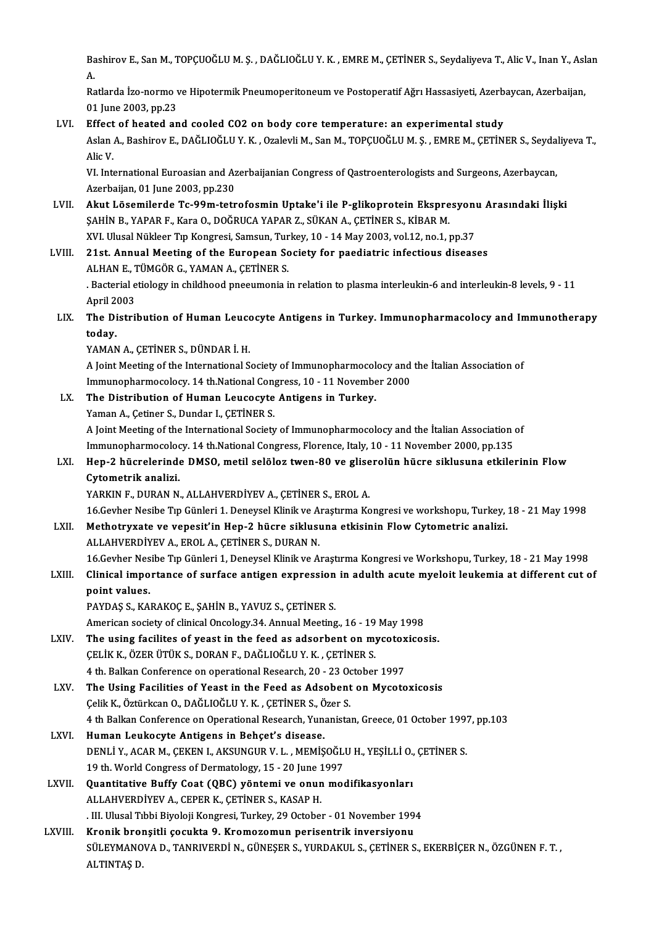Bashirov E., San M., TOPÇUOĞLU M. Ş. , DAĞLIOĞLU Y. K. , EMRE M., ÇETİNER S., Seydaliyeva T., Alic V., Inan Y., Aslan<br>A Ba<br>A. Bashirov E., San M., TOPÇUOĞLU M. Ş. , DAĞLIOĞLU Y. K. , EMRE M., ÇETİNER S., Seydaliyeva T., Alic V., Inan Y., Asl<br>A.<br>Ratlarda İzo-normo ve Hipotermik Pneumoperitoneum ve Postoperatif Ağrı Hassasiyeti, Azerbaycan, Azerbai

A.<br>Ratlarda İzo-normo ve Hipotermik Pneumoperitoneum ve Postoperatif Ağrı Hassasiyeti, Azerbaycan, Azerbaijan,<br>01 June 2003, pp.23

LVI. Effect of heated and cooled CO2 on body core temperature: an experimental study

01 June 2003, pp.23<br>Effect of heated and cooled CO2 on body core temperature: an experimental study<br>Aslan A., Bashirov E., DAĞLIOĞLU Y. K. , Ozalevli M., San M., TOPÇUOĞLU M. Ş. , EMRE M., ÇETİNER S., Seydaliyeva T.,<br>Alis Effect<br>Aslan<br>Alic V.<br>VI. Inte Aslan A., Bashirov E., DAĞLIOĞLU Y. K. , Ozalevli M., San M., TOPÇUOĞLU M. Ş. , EMRE M., ÇETİNER S., Seyda<br>Alic V.<br>VI. International Euroasian and Azerbaijanian Congress of Qastroenterologists and Surgeons, Azerbaycan,<br>Aze

Alic V.<br>VI. International Euroasian and Azerbaijanian Congress of Qastroenterologists and Surgeons, Azerbaycan,<br>Azerbaijan, 01 June 2003, pp.230 VI. International Euroasian and Azerbaijanian Congress of Qastroenterologists and Surgeons, Azerbaycan,<br>Azerbaijan, 01 June 2003, pp.230<br>LVII. Akut Lösemilerde Tc-99m-tetrofosmin Uptake'i ile P-glikoprotein Ekspresyonu Ara

- Azerbaijan, 01 June 2003, pp.230<br><mark>Akut Lösemilerde Tc-99m-tetrofosmin Uptake'i ile P-glikoprotein Ekspre</mark><br>ŞAHİN B., YAPAR F., Kara O., DOĞRUCA YAPAR Z., SÜKAN A., ÇETİNER S., KİBAR M.<br>XVI Husal Nükkor Tın Kongresi, Samsun, Akut Lösemilerde Tc-99m-tetrofosmin Uptake'i ile P-glikoprotein Ekspresyon<br>ŞAHİN B., YAPAR F., Kara O., DOĞRUCA YAPAR Z., SÜKAN A., ÇETİNER S., KİBAR M.<br>XVI. Ulusal Nükleer Tıp Kongresi, Samsun, Turkey, 10 - 14 May 2003, v SAHİN B., YAPAR F., Kara O., DOĞRUCA YAPAR Z., SÜKAN A., ÇETİNER S., KİBAR M.<br>XVI. Ulusal Nükleer Tıp Kongresi, Samsun, Turkey, 10 - 14 May 2003, vol.12, no.1, pp.37<br>LVIII. 21st. Annual Meeting of the European Society
- XVI. Ulusal Nükleer Tıp Kongresi, Samsun, Tur<br>21st. Annual Meeting of the European Sc<br>ALHAN E., TÜMGÖR G., YAMAN A., ÇETİNER S.<br>Pesterial etialegy in ebildhaad nneeumenia i . Bacterial etiology in childhood pneeumonia in relation to plasma interleukin-6 and interleukin-8 levels, 9 - 11<br>April 2003 ALHAN E., <mark>1</mark><br>. Bacterial e<br>April 2003<br>The Distril
- Racterial etiology in childhood pneeumonia in relation to plasma interleukin-6 and interleukin-8 levels, 9 11.<br>April 2003<br>LIX. The Distribution of Human Leucocyte Antigens in Turkey. Immunopharmacolocy and Immunotherapy<br> April 2<br>The Di<br>today.<br>VAMAN The Distribution of Human Leuco<br>today.<br>YAMAN A., ÇETİNER S., DÜNDAR İ. H.<br>A Jeint Meeting of the International S

today.<br>YAMAN A., ÇETİNER S., DÜNDAR İ. H.<br>A Joint Meeting of the International Society of Immunopharmocolocy and the İtalian Association of YAMAN A., ÇETİNER S., DÜNDAR İ. H.<br>A Joint Meeting of the International Society of Immunopharmocolocy and<br>Immunopharmocolocy. 14 th.National Congress, 10 - 11 November 2000<br>The Distribution of Human Lousesyte Antigons in T A Joint Meeting of the International Society of Immunopharmocol<br>Immunopharmocolocy. 14 th.National Congress, 10 - 11 November<br>LX. The Distribution of Human Leucocyte Antigens in Turkey.<br>Naman A. Cetiner S. Dundar L.CETINER

Immunopharmocolocy. 14 th.National Congress, 10 - 11 November 2000<br>The Distribution of Human Leucocyte Antigens in Turkey.<br>Yaman A., Çetiner S., Dundar I., ÇETİNER S.

The Distribution of Human Leucocyte Antigens in Turkey.<br>Yaman A., Çetiner S., Dundar I., ÇETİNER S.<br>A Joint Meeting of the International Society of Immunopharmocolocy and the İtalian Association of<br>Immunopharmocolocy, 14 t Yaman A., Çetiner S., Dundar I., ÇETİNER S.<br>A Joint Meeting of the International Society of Immunopharmocolocy and the İtalian Association (<br>Immunopharmocolocy. 14 th.National Congress, Florence, Italy, 10 - 11 November 20 A Joint Meeting of the International Society of Immunopharmocolocy and the İtalian Association of<br>Immunopharmocolocy. 14 th.National Congress, Florence, Italy, 10 - 11 November 2000, pp.135<br>LXI. Hep-2 hücrelerinde DMSO, me

Immunopharmocolocy. 14 th.National Congress, Florence, Italy, 10 - 11 November 2000, pp.135<br>Hep-2 hücrelerinde DMSO, metil selöloz twen-80 ve gliserolün hücre siklusuna etkile<br>Cytometrik analizi.<br>YARKIN F., DURAN N., ALLAH Hep-2 hücrelerinde DMSO, metil selöloz twen-80 ve glise<br>Cytometrik analizi.<br>YARKIN F., DURAN N., ALLAHVERDİYEV A., ÇETİNER S., EROL A.<br>16 Geyber Nesibe Tın Günleri 1. Denevgel Klinik ve Arasturma Ke Cytometrik analizi.<br>YARKIN F., DURAN N., ALLAHVERDİYEV A., ÇETİNER S., EROL A.<br>16.Gevher Nesibe Tıp Günleri 1. Deneysel Klinik ve Araştırma Kongresi ve workshopu, Turkey, 18 - 21 May 1998<br>Mathatruvata ve vanesit'in Han 2 b

YARKIN F., DURAN N., ALLAHVERDİYEV A., ÇETİNER S., EROL A.<br>16.Gevher Nesibe Tıp Günleri 1. Deneysel Klinik ve Araştırma Kongresi ve workshopu, Turkey,<br>17. Methotryxate ve vepesit'in Hep-2 hücre siklusuna etkisinin Flow Cyt 16.Gevher Nesibe Tıp Günleri 1. Deneysel Klinik ve A<br>Methotryxate ve vepesit'in Hep-2 hücre siklusı<br>ALLAHVERDİYEV A., EROL A., ÇETİNER S., DURAN N.<br>16 Cevher Nesibe Tıp Günleri 1. Deneysel Klinik ve A Methotryxate ve vepesit'in Hep-2 hücre siklusuna etkisinin Flow Cytometric analizi.<br>ALLAHVERDİYEV A., EROL A., ÇETİNER S., DURAN N.<br>16.Gevher Nesibe Tıp Günleri 1, Deneysel Klinik ve Araştırma Kongresi ve Workshopu, Turkey

### ALLAHVERDİYEV A., EROL A., ÇETİNER S., DURAN N.<br>16.Gevher Nesibe Tıp Günleri 1, Deneysel Klinik ve Araştırma Kongresi ve Workshopu, Turkey, 18 - 21 May 1998<br>17. Clinical importance of surface antigen expression in adulth a 16. Gevher Nes<br>Clinical impo<br>point values.<br>PAVDAS S. KA. Clinical importance of surface antigen expression in adulth acute myeloit leukemia at different cut of<br>point values.<br>PAYDAŞ S., KARAKOÇ E., ŞAHİN B., YAVUZ S., ÇETİNER S.

American society of clinical Oncology.34. Annual Meeting., 16 - 19 May 1998

- LXIV. The using facilites of yeast in the feed as adsorbent on mycotoxicosis. American society of clinical Oncology.34. Annual Meeting., 16 - 19<br>The using facilites of yeast in the feed as adsorbent on my<br>CELİK K., ÖZER ÜTÜK S., DORAN F., DAĞLIOĞLU Y. K., CETİNER S. The using facilites of yeast in the feed as adsorbent on mycotox<br>CELIK K., ÖZER ÜTÜK S., DORAN F., DAĞLIOĞLU Y. K. , CETİNER S.<br>4 th. Balkan Conference on operational Research, 20 - 23 October 1997<br>The Using Facilities of CELIK K., ÖZER ÜTÜK S., DORAN F., DAĞLIOĞLU Y. K., CETİNER S.<br>4 th. Balkan Conference on operational Research, 20 - 23 October 1997<br>LXV. The Using Facilities of Yeast in the Feed as Adsobent on Mycotoxicosis<br>Colik K. Öztür
- 4 th. Balkan Conference on operational Research, 20 23 October The Using Facilities of Yeast in the Feed as Adsobent<br>Celik K., Öztürkcan O., DAĞLIOĞLU Y.K. , ÇETİNER S., Özer S.<br>4 th Palkan Conference on Operational Bess The Using Facilities of Yeast in the Feed as Adsobent on Mycotoxicosis<br>Çelik K., Öztürkcan O., DAĞLIOĞLU Y. K. , ÇETİNER S., Özer S.<br>4 th Balkan Conference on Operational Research, Yunanistan, Greece, 01 October 1997, pp.1 Celik K., Öztürkcan O., DAĞLIOĞLU Y. K., CETİNER S., Ö.<br>4 th Balkan Conference on Operational Research, Yuna<br>LXVI. Human Leukocyte Antigens in Behçet's disease.<br>1 NEMLİ Y. ACAR M. CEVEN L. AVSUNCUR V. L. MEMİS
- 4 th Balkan Conference on Operational Research, Yunanistan, Greece, 01 October 199?<br>Human Leukocyte Antigens in Behçet's disease.<br>DENLİ Y., ACAR M., ÇEKEN I., AKSUNGUR V. L. , MEMİŞOĞLU H., YEŞİLLİ O., ÇETİNER S.<br>19 th Wer Human Leukocyte Antigens in Behçet's disease.<br>DENLİ Y., ACAR M., ÇEKEN I., AKSUNGUR V. L. , MEMİŞOĞLU H., YEŞİLLİ O., ÇETİNER S.<br>19 th. World Congress of Dermatology, 15 - 20 June 1997
- LXVII. Quantitative Buffy Coat (QBC) yöntemi ve onun modifikasyonları ALLAHVERDİYEV A., CEPER K., ÇETİNER S., KASAP H. Quantitative Buffy Coat (QBC) yöntemi ve onun modifikasyonları<br>ALLAHVERDİYEV A., CEPER K., ÇETİNER S., KASAP H.<br>. III. Ulusal Tıbbi Biyoloji Kongresi, Turkey, 29 October - 01 November 1994<br>Knonik brensitli sesultta 9. Knom ALLAHVERDİYEV A., CEPER K., ÇETİNER S., KASAP H.<br>III. Ulusal Tıbbi Biyoloji Kongresi, Turkey, 29 October - 01 November 199.<br>LXVIII. Kronik bronşitli çocukta 9. Kromozomun perisentrik inversiyonu<br>SULEVMANOVA D. TANRIVERDİ N
- . III. Ulusal Tıbbi Biyoloji Kongresi, Turkey, 29 October 01 November 1994<br>Kronik bronşitli çocukta 9. Kromozomun perisentrik inversiyonu<br>SÜLEYMANOVA D., TANRIVERDİ N., GÜNEŞER S., YURDAKUL S., ÇETİNER S., EKERBİÇER N., <mark>Kronik bro</mark><br>SÜLEYMANO<br>ALTINTAŞ D.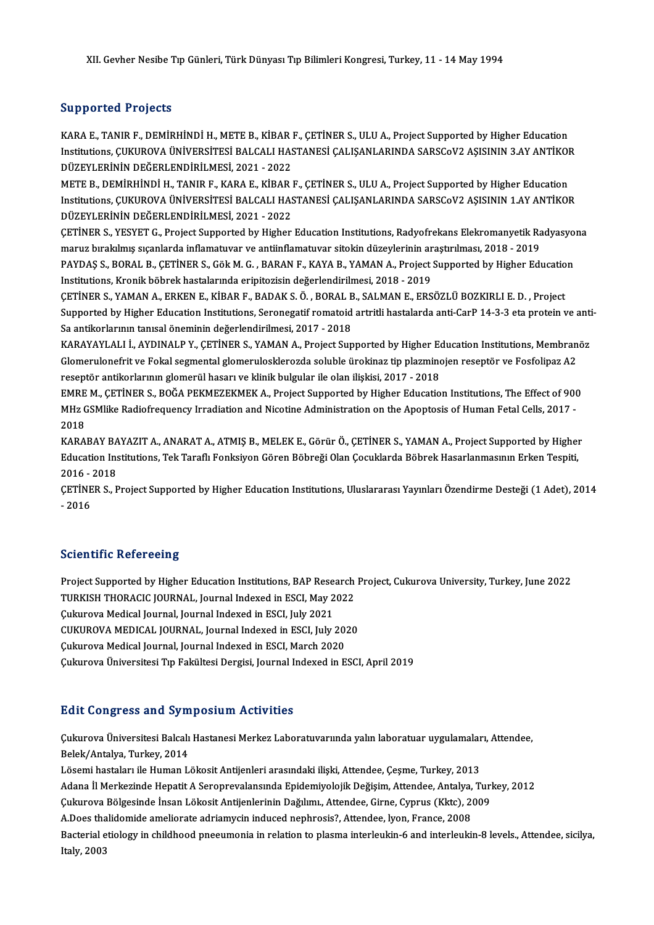### Supported Projects

KARA E., TANIR F., DEMİRHİNDİ H., METE B., KİBAR F., ÇETİNER S., ULU A., Project Supported by Higher Education DAPPOTTON TTOJOCES<br>KARA E., TANIR F., DEMİRHİNDİ H., METE B., KİBAR F., ÇETİNER S., ULU A., Project Supported by Higher Education<br>DÜZEVLERINİN DEĞERLENDİRİLMESİ 2021, ...2022 KARA E., TANIR F., DEMİRHİNDİ H., METE B., KİBAR I<br>Institutions, ÇUKUROVA ÜNİVERSİTESİ BALCALI HAS<br>DÜZEYLERİNİN DEĞERLENDİRİLMESİ, 2021 - 2022<br>METE B. DEMİRHİNDİ H. TANIR E. KARA E. KİRAR I Institutions, ÇUKUROVA ÜNİVERSİTESİ BALCALI HASTANESİ ÇALIŞANLARINDA SARSCoV2 AŞISININ 3.AY ANTİKOF<br>DÜZEYLERİNİN DEĞERLENDİRİLMESİ, 2021 - 2022<br>METE B., DEMİRHİNDİ H., TANIR F., KARA E., KİBAR F., ÇETİNER S., ULU A., Proje

DÜZEYLERİNİN DEĞERLENDİRİLMESİ, 2021 - 2022<br>METE B., DEMİRHİNDİ H., TANIR F., KARA E., KİBAR F., ÇETİNER S., ULU A., Project Supported by Higher Education<br>Institutions, ÇUKUROVA ÜNİVERSİTESİ BALCALI HASTANESİ ÇALIŞANLARIND METE B., DEMİRHİNDİ H., TANIR F., KARA E., KİBAR I<br>Institutions, ÇUKUROVA ÜNİVERSİTESİ BALCALI HAS<br>DÜZEYLERİNİN DEĞERLENDİRİLMESİ, 2021 - 2022<br>CETİNER S. VESVET G. Project Sunnerted bu Hisber Institutions, ÇUKUROVA ÜNİVERSİTESİ BALCALI HASTANESİ ÇALIŞANLARINDA SARSCoV2 AŞISININ 1.AY ANTİKOR<br>DÜZEYLERİNİN DEĞERLENDİRİLMESİ, 2021 - 2022<br>ÇETİNER S., YESYET G., Project Supported by Higher Education Institutions, Rad

DÜZEYLERİNİN DEĞERLENDİRİLMESİ, 2021 - 2022<br>ÇETİNER S., YESYET G., Project Supported by Higher Education Institutions, Radyofrekans Elekromanyetik Ra<br>maruz bırakılmış sıçanlarda inflamatuvar ve antiinflamatuvar sitokin düz CETİNER S., YESYET G., Project Supported by Higher Education Institutions, Radyofrekans Elekromanyetik Radyasyo<br>maruz bırakılmış sıçanlarda inflamatuvar ve antiinflamatuvar sitokin düzeylerinin araştırılması, 2018 - 2019<br>P maruz bırakılmış sıçanlarda inflamatuvar ve antiinflamatuvar sitokin düzeylerinin araştırılması, 2018 - 2019<br>PAYDAŞ S., BORAL B., ÇETİNER S., Gök M. G. , BARAN F., KAYA B., YAMAN A., Project Supported by Higher Educatio<br>In PAYDAS S., BORAL B., CETINER S., Gök M. G., BARAN F., KAYA B., YAMAN A., Project Supported by Higher Education

Institutions, Kronik böbrek hastalarında eripitozisin değerlendirilmesi, 2018 - 2019<br>ÇETİNER S., YAMAN A., ERKEN E., KİBAR F., BADAK S. Ö. , BORAL B., SALMAN E., ERSÖZLÜ BOZKIRLI E. D. , Project<br>Supported by Higher Educati Sa antikorlarının tanısal öneminin değerlendirilmesi, 2017 - 2018<br>KARAYAYLALI İ., AYDINALP Y., CETİNER S., YAMAN A., Project Supported by Higher Education Institutions, Membranöz Supported by Higher Education Institutions, Seronegatif romatoid artritli hastalarda anti-CarP 14-3-3 eta protein ve anti<br>Sa antikorlarının tanısal öneminin değerlendirilmesi, 2017 - 2018<br>KARAYAYLALI İ., AYDINALP Y., ÇETİN

Sa antikorlarının tanısal öneminin değerlendirilmesi, 2017 - 2018<br>KARAYAYLALI İ., AYDINALP Y., ÇETİNER S., YAMAN A., Project Supported by Higher Education Institutions, Membran<br>Glomerulonefrit ve Fokal segmental glomerulos KARAYAYLALI İ., AYDINALP Y., ÇETİNER S., YAMAN A., Project Supported by Higher Ed<br>Glomerulonefrit ve Fokal segmental glomerulosklerozda soluble ürokinaz tip plazmino<br>reseptör antikorlarının glomerül hasarı ve klinik bulgul Glomerulonefrit ve Fokal segmental glomerulosklerozda soluble ürokinaz tip plazminojen reseptör ve Fosfolipaz A2<br>reseptör antikorlarının glomerül hasarı ve klinik bulgular ile olan ilişkisi, 2017 - 2018<br>EMRE M., ÇETİNER S.

reseptör antikorlarının glomerül hasarı ve klinik bulgular ile olan ilişkisi, 2017 - 2018<br>EMRE M., ÇETİNER S., BOĞA PEKMEZEKMEK A., Project Supported by Higher Education Institutions, The Effect of 90<br>MHz GSMlike Radiofreq MHz GSMlike Radiofrequency Irradiation and Nicotine Administration on the Apoptosis of Human Fetal Cells, 2017 -<br>2018

KARABAY BAYAZIT A., ANARAT A., ATMIS B., MELEK E., Görür Ö., CETİNER S., YAMAN A., Project Supported by Higher 2018<br>KARABAY BAYAZIT A., ANARAT A., ATMIŞ B., MELEK E., Görür Ö., ÇETİNER S., YAMAN A., Project Supported by Higheı<br>Education Institutions, Tek Taraflı Fonksiyon Gören Böbreği Olan Çocuklarda Böbrek Hasarlanmasının Erken T KARABAY BA<br>Education Ins<br>2016 - 2018<br>CETINER S. E Education Institutions, Tek Taraflı Fonksiyon Gören Böbreği Olan Çocuklarda Böbrek Hasarlanmasının Erken Tespiti,<br>2016 - 2018<br>ÇETİNER S., Project Supported by Higher Education Institutions, Uluslararası Yayınları Özendirme

2016 - 2018<br>ÇETİNER S., Project Supported by Higher Education Institutions, Uluslararası Yayınları Özendirme Desteği (1 Adet), 2014<br>- 2016

### **Scientific Refereeing**

Scientific Refereeing<br>Project Supported by Higher Education Institutions, BAP Research Project, Cukurova University, Turkey, June 2022<br>TURKISH THORACIS JOURNAL Journal Indoved in ESSL Mov 2022 Betentinic Refereeing<br>Project Supported by Higher Education Institutions, BAP Research<br>TURKISH THORACIC JOURNAL, Journal Indexed in ESCI, May 2022<br>Cultureve Medical Journal, Journal Indexed in ESCI, July 2021 Project Supported by Higher Education Institutions, BAP Rese.<br>TURKISH THORACIC JOURNAL, Journal Indexed in ESCI, May 2<br>Cukurova Medical Journal, Journal Indexed in ESCI, July 2021<br>CUKUROVA MEDICAL JOURNAL, Journal Indexed TURKISH THORACIC JOURNAL, Journal Indexed in ESCI, May 2022<br>Çukurova Medical Journal, Journal Indexed in ESCI, July 2021<br>CUKUROVA MEDICAL JOURNAL, Journal Indexed in ESCI, July 2020<br>Cularova Medical Journal, Journal Indexe Çukurova Medical Journal, Journal Indexed in ESCI, July 2021<br>CUKUROVA MEDICAL JOURNAL, Journal Indexed in ESCI, July 20:<br>Çukurova Medical Journal, Journal Indexed in ESCI, March 2020<br>Culturova Üniversitesi Tın Fakültesi De Çukurova Medical Journal, Journal Indexed in ESCI, March 2020<br>Çukurova Üniversitesi Tıp Fakültesi Dergisi, Journal Indexed in ESCI, April 2019

### **Edit Congress and Symposium Activities**

Edit Congress and Symposium Activities<br>Çukurova Üniversitesi Balcalı Hastanesi Merkez Laboratuvarıında yalın laboratuar uygulamaları, Attendee,<br>Relak (Antakra Turkay, 2014 Belek/Antalya, Turkey, 2014<br>Belek/Antalya, Turkey, 2014<br>Läsemi bestelem ile Human L Çukurova Üniversitesi Balcalı Hastanesi Merkez Laboratuvarıında yalın laboratuar uygulamalar<br>Belek/Antalya, Turkey, 2014<br>Lösemi hastaları ile Human Lökosit Antijenleri arasındaki ilişki, Attendee, Çeşme, Turkey, 2013<br>Adana Belek/Antalya, Turkey, 2014<br>Lösemi hastaları ile Human Lökosit Antijenleri arasındaki ilişki, Attendee, Çeşme, Turkey, 2013<br>Adana İl Merkezinde Hepatit A Seroprevalansında Epidemiyolojik Değişim, Attendee, Antalya, Turkey,

Lösemi hastaları ile Human Lökosit Antijenleri arasındaki ilişki, Attendee, Çeşme, Turkey, 2013<br>Adana İl Merkezinde Hepatit A Seroprevalansında Epidemiyolojik Değişim, Attendee, Antalya, Turl<br>Çukurova Bölgesinde İnsan Löko

Adana İl Merkezinde Hepatit A Seroprevalansında Epidemiyolojik Değişim, Attendee, Antalya,<br>Çukurova Bölgesinde İnsan Lökosit Antijenlerinin Dağılımı., Attendee, Girne, Cyprus (Kktc), 20<br>A.Does thalidomide ameliorate adriam

Çukurova Bölgesinde İnsan Lökosit Antijenlerinin Dağılımı., Attendee, Girne, Cyprus (Kktc), 2009<br>A.Does thalidomide ameliorate adriamycin induced nephrosis?, Attendee, Iyon, France, 2008<br>Bacterial etiology in childhood pne A.Does tha<br>Bacterial e<br>Italy, 2003